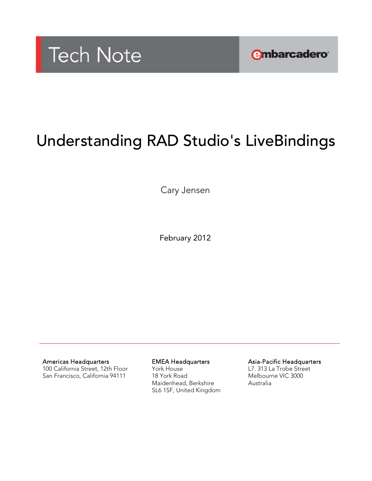

**embarcadero** 

# Understanding RAD Studio's LiveBindings

Cary Jensen

February 2012

Americas Headquarters

100 California Street, 12th Floor San Francisco, California 94111

EMEA Headquarters York House 18 York Road Maidenhead, Berkshire SL6 1SF, United Kingdom Asia-Pacific Headquarters

L7. 313 La Trobe Street Melbourne VIC 3000 Australia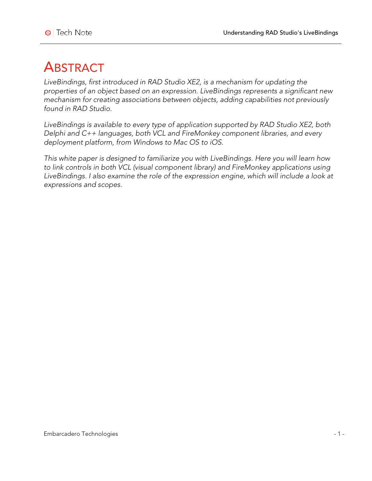# **ABSTRACT**

*LiveBindings, first introduced in RAD Studio XE2, is a mechanism for updating the properties of an object based on an expression. LiveBindings represents a significant new mechanism for creating associations between objects, adding capabilities not previously found in RAD Studio.*

*LiveBindings is available to every type of application supported by RAD Studio XE2, both Delphi and C++ languages, both VCL and FireMonkey component libraries, and every deployment platform, from Windows to Mac OS to iOS.*

*This white paper is designed to familiarize you with LiveBindings. Here you will learn how to link controls in both VCL (visual component library) and FireMonkey applications using LiveBindings. I also examine the role of the expression engine, which will include a look at expressions and scopes.*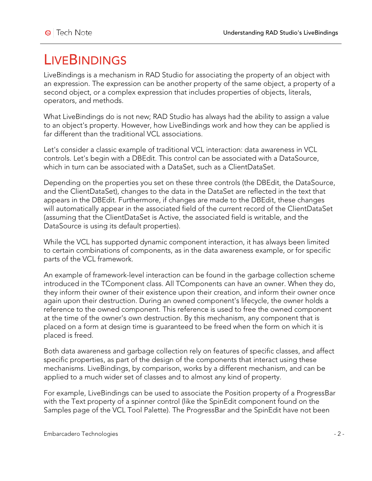# **LIVEBINDINGS**

LiveBindings is a mechanism in RAD Studio for associating the property of an object with an expression. The expression can be another property of the same object, a property of a second object, or a complex expression that includes properties of objects, literals, operators, and methods.

What LiveBindings do is not new; RAD Studio has always had the ability to assign a value to an object's property. However, how LiveBindings work and how they can be applied is far different than the traditional VCL associations.

Let's consider a classic example of traditional VCL interaction: data awareness in VCL controls. Let's begin with a DBEdit. This control can be associated with a DataSource, which in turn can be associated with a DataSet, such as a ClientDataSet.

Depending on the properties you set on these three controls (the DBEdit, the DataSource, and the ClientDataSet), changes to the data in the DataSet are reflected in the text that appears in the DBEdit. Furthermore, if changes are made to the DBEdit, these changes will automatically appear in the associated field of the current record of the ClientDataSet (assuming that the ClientDataSet is Active, the associated field is writable, and the DataSource is using its default properties).

While the VCL has supported dynamic component interaction, it has always been limited to certain combinations of components, as in the data awareness example, or for specific parts of the VCL framework.

An example of framework-level interaction can be found in the garbage collection scheme introduced in the TComponent class. All TComponents can have an owner. When they do, they inform their owner of their existence upon their creation, and inform their owner once again upon their destruction. During an owned component's lifecycle, the owner holds a reference to the owned component. This reference is used to free the owned component at the time of the owner's own destruction. By this mechanism, any component that is placed on a form at design time is guaranteed to be freed when the form on which it is placed is freed.

Both data awareness and garbage collection rely on features of specific classes, and affect specific properties, as part of the design of the components that interact using these mechanisms. LiveBindings, by comparison, works by a different mechanism, and can be applied to a much wider set of classes and to almost any kind of property.

For example, LiveBindings can be used to associate the Position property of a ProgressBar with the Text property of a spinner control (like the SpinEdit component found on the Samples page of the VCL Tool Palette). The ProgressBar and the SpinEdit have not been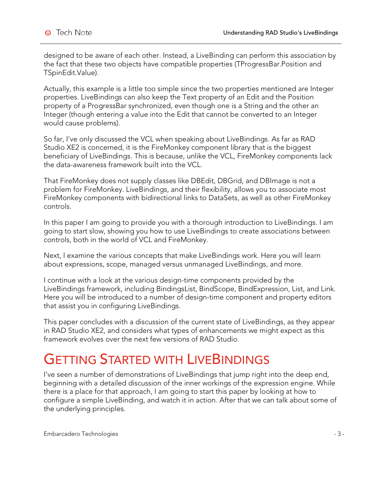designed to be aware of each other. Instead, a LiveBinding can perform this association by the fact that these two objects have compatible properties (TProgressBar.Position and TSpinEdit.Value).

Actually, this example is a little too simple since the two properties mentioned are Integer properties. LiveBindings can also keep the Text property of an Edit and the Position property of a ProgressBar synchronized, even though one is a String and the other an Integer (though entering a value into the Edit that cannot be converted to an Integer would cause problems).

So far, I've only discussed the VCL when speaking about LiveBindings. As far as RAD Studio XE2 is concerned, it is the FireMonkey component library that is the biggest beneficiary of LiveBindings. This is because, unlike the VCL, FireMonkey components lack the data-awareness framework built into the VCL.

That FireMonkey does not supply classes like DBEdit, DBGrid, and DBImage is not a problem for FireMonkey. LiveBindings, and their flexibility, allows you to associate most FireMonkey components with bidirectional links to DataSets, as well as other FireMonkey controls.

In this paper I am going to provide you with a thorough introduction to LiveBindings. I am going to start slow, showing you how to use LiveBindings to create associations between controls, both in the world of VCL and FireMonkey.

Next, I examine the various concepts that make LiveBindings work. Here you will learn about expressions, scope, managed versus unmanaged LiveBindings, and more.

I continue with a look at the various design-time components provided by the LiveBindings framework, including BindingsList, BindScope, BindExpression, List, and Link. Here you will be introduced to a number of design-time component and property editors that assist you in configuring LiveBindings.

This paper concludes with a discussion of the current state of LiveBindings, as they appear in RAD Studio XE2, and considers what types of enhancements we might expect as this framework evolves over the next few versions of RAD Studio.

# **GETTING STARTED WITH LIVEBINDINGS**

I've seen a number of demonstrations of LiveBindings that jump right into the deep end, beginning with a detailed discussion of the inner workings of the expression engine. While there is a place for that approach, I am going to start this paper by looking at how to configure a simple LiveBinding, and watch it in action. After that we can talk about some of the underlying principles.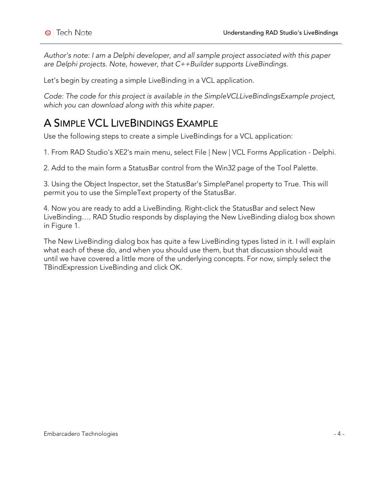*Author's note: I am a Delphi developer, and all sample project associated with this paper are Delphi projects. Note, however, that C++Builder supports LiveBindings.*

Let's begin by creating a simple LiveBinding in a VCL application.

*Code: The code for this project is available in the SimpleVCLLiveBindingsExample project, which you can download along with this white paper.*

## A SIMPLE VCL LIVEBINDINGS EXAMPLE

Use the following steps to create a simple LiveBindings for a VCL application:

1. From RAD Studio's XE2's main menu, select File | New | VCL Forms Application - Delphi.

2. Add to the main form a StatusBar control from the Win32 page of the Tool Palette.

3. Using the Object Inspector, set the StatusBar's SimplePanel property to True. This will permit you to use the SimpleText property of the StatusBar.

4. Now you are ready to add a LiveBinding. Right-click the StatusBar and select New LiveBinding…. RAD Studio responds by displaying the New LiveBinding dialog box shown in Figure 1.

The New LiveBinding dialog box has quite a few LiveBinding types listed in it. I will explain what each of these do, and when you should use them, but that discussion should wait until we have covered a little more of the underlying concepts. For now, simply select the TBindExpression LiveBinding and click OK.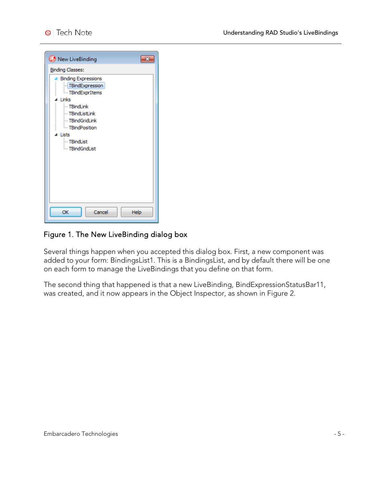| New LiveBinding               |
|-------------------------------|
| <b>Binding Classes:</b>       |
| <b>Binding Expressions</b>    |
| TBindExpression               |
| - TBindExprItems<br>⊿ ∙ Links |
| - TBindLink                   |
| - TBindListLink               |
| - TBindGridLink               |
| <b>Exercise TBindPosition</b> |
| ⊿ Lists<br>- TBindList        |
| <b>TBindGridList</b>          |
|                               |
|                               |
|                               |
|                               |
|                               |
|                               |
|                               |
| OK<br>Cancel<br>Help          |

#### Figure 1. The New LiveBinding dialog box

Several things happen when you accepted this dialog box. First, a new component was added to your form: BindingsList1. This is a BindingsList, and by default there will be one on each form to manage the LiveBindings that you define on that form.

The second thing that happened is that a new LiveBinding, BindExpressionStatusBar11, was created, and it now appears in the Object Inspector, as shown in Figure 2.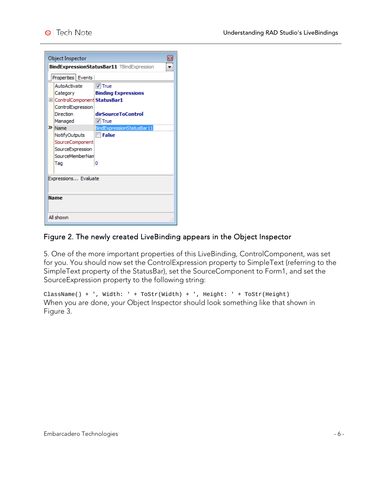| Object Inspector                                 | x                          |  |
|--------------------------------------------------|----------------------------|--|
| <b>BindExpressionStatusBar11 TBindExpression</b> |                            |  |
| Properties   Events                              |                            |  |
| AutoActivate                                     | $V$ True                   |  |
| Category                                         | <b>Binding Expressions</b> |  |
| E ControlComponent StatusBar1                    |                            |  |
| ControlExpression                                |                            |  |
| Direction                                        | dirSourceToControl         |  |
| Managed                                          | $\sqrt{}$ True             |  |
| $\mathbf{\Sigma}$ Name                           | BindExpressionStatusBar11  |  |
| NotifyOutputs                                    | <b>False</b>               |  |
| SourceComponent                                  |                            |  |
| SourceExpression                                 |                            |  |
| SourceMemberNam                                  |                            |  |
| Tao                                              | 0                          |  |
|                                                  |                            |  |
| Expressions Evaluate                             |                            |  |
|                                                  |                            |  |
|                                                  |                            |  |
| Name                                             |                            |  |
|                                                  |                            |  |
| All shown                                        |                            |  |

#### Figure 2. The newly created LiveBinding appears in the Object Inspector

5. One of the more important properties of this LiveBinding, ControlComponent, was set for you. You should now set the ControlExpression property to SimpleText (referring to the SimpleText property of the StatusBar), set the SourceComponent to Form1, and set the SourceExpression property to the following string:

ClassName() + ', Width: ' + ToStr(Width) + ', Height: ' + ToStr(Height) When you are done, your Object Inspector should look something like that shown in Figure 3.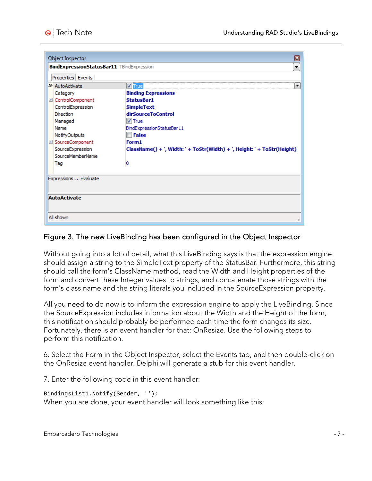| Object Inspector                                 | B                                                                       |
|--------------------------------------------------|-------------------------------------------------------------------------|
| <b>BindExpressionStatusBar11</b> TBindExpression | ۰                                                                       |
| Properties   Events                              |                                                                         |
| $\lambda$ AutoActivate                           | <b>V</b> True<br>▼                                                      |
| Category                                         | <b>Binding Expressions</b>                                              |
| E ControlComponent                               | <b>StatusBar1</b>                                                       |
| ControlExpression                                | <b>SimpleText</b>                                                       |
| <b>Direction</b>                                 | dirSourceToControl                                                      |
| Managed                                          | $V$ True                                                                |
| Name                                             | BindExpressionStatusBar11                                               |
| NotifyOutputs                                    | <b>False</b>                                                            |
| E SourceComponent                                | Form1                                                                   |
| SourceExpression                                 | ClassName() + ', Width: ' + ToStr(Width) + ', Height: ' + ToStr(Height) |
| SourceMemberName                                 |                                                                         |
| Tag                                              | 0                                                                       |
|                                                  |                                                                         |
| Expressions Evaluate                             |                                                                         |
|                                                  |                                                                         |
|                                                  |                                                                         |
| <b>AutoActivate</b>                              |                                                                         |
|                                                  |                                                                         |
| All shown                                        |                                                                         |

#### Figure 3. The new LiveBinding has been configured in the Object Inspector

Without going into a lot of detail, what this LiveBinding says is that the expression engine should assign a string to the SimpleText property of the StatusBar. Furthermore, this string should call the form's ClassName method, read the Width and Height properties of the form and convert these Integer values to strings, and concatenate those strings with the form's class name and the string literals you included in the SourceExpression property.

All you need to do now is to inform the expression engine to apply the LiveBinding. Since the SourceExpression includes information about the Width and the Height of the form, this notification should probably be performed each time the form changes its size. Fortunately, there is an event handler for that: OnResize. Use the following steps to perform this notification.

6. Select the Form in the Object Inspector, select the Events tab, and then double-click on the OnResize event handler. Delphi will generate a stub for this event handler.

7. Enter the following code in this event handler:

```
BindingsList1.Notify(Sender, '');
When you are done, your event handler will look something like this:
```
Embarcadero Technologies - 7 -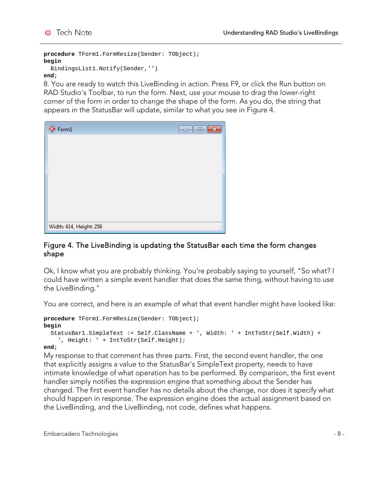**procedure** TForm1.FormResize(Sender: TObject); **begin**

#### BindingsList1.Notify(Sender,'') **end**;

8. You are ready to watch this LiveBinding in action. Press F9, or click the Run button on RAD Studio's Toolbar, to run the form. Next, use your mouse to drag the lower-right corner of the form in order to change the shape of the form. As you do, the string that appears in the StatusBar will update, similar to what you see in Figure 4.

| <b>O</b> Form1          | $\begin{array}{ c c } \hline \quad \quad & \quad \quad & \quad \quad & \quad \quad \\ \hline \quad \quad & \quad \quad & \quad \quad & \quad \quad & \quad \quad \\ \hline \end{array}$<br>× |
|-------------------------|----------------------------------------------------------------------------------------------------------------------------------------------------------------------------------------------|
|                         |                                                                                                                                                                                              |
|                         |                                                                                                                                                                                              |
|                         |                                                                                                                                                                                              |
|                         |                                                                                                                                                                                              |
|                         |                                                                                                                                                                                              |
|                         |                                                                                                                                                                                              |
| Width: 414, Height: 256 |                                                                                                                                                                                              |
|                         | лÍ                                                                                                                                                                                           |

#### Figure 4. The LiveBinding is updating the StatusBar each time the form changes shape

Ok, I know what you are probably thinking. You're probably saying to yourself, "So what? I could have written a simple event handler that does the same thing, without having to use the LiveBinding."

You are correct, and here is an example of what that event handler might have looked like:

```
procedure TForm1.FormResize(Sender: TObject);
begin
   StatusBar1.SimpleText := Self.ClassName + ', Width: ' + IntToStr(Self.Width) +
     ', Height: ' + IntToStr(Self.Height);
```
#### **end**;

My response to that comment has three parts. First, the second event handler, the one that explicitly assigns a value to the StatusBar's SimpleText property, needs to have intimate knowledge of what operation has to be performed. By comparison, the first event handler simply notifies the expression engine that something about the Sender has changed. The first event handler has no details about the change, nor does it specify what should happen in response. The expression engine does the actual assignment based on the LiveBinding, and the LiveBinding, not code, defines what happens.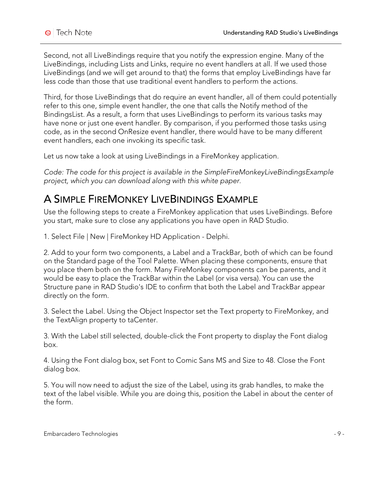Second, not all LiveBindings require that you notify the expression engine. Many of the LiveBindings, including Lists and Links, require no event handlers at all. If we used those LiveBindings (and we will get around to that) the forms that employ LiveBindings have far less code than those that use traditional event handlers to perform the actions.

Third, for those LiveBindings that do require an event handler, all of them could potentially refer to this one, simple event handler, the one that calls the Notify method of the BindingsList. As a result, a form that uses LiveBindings to perform its various tasks may have none or just one event handler. By comparison, if you performed those tasks using code, as in the second OnResize event handler, there would have to be many different event handlers, each one invoking its specific task.

Let us now take a look at using LiveBindings in a FireMonkey application.

*Code: The code for this project is available in the SimpleFireMonkeyLiveBindingsExample project, which you can download along with this white paper.*

## A SIMPLE FIREMONKEY LIVEBINDINGS EXAMPLE

Use the following steps to create a FireMonkey application that uses LiveBindings. Before you start, make sure to close any applications you have open in RAD Studio.

1. Select File | New | FireMonkey HD Application - Delphi.

2. Add to your form two components, a Label and a TrackBar, both of which can be found on the Standard page of the Tool Palette. When placing these components, ensure that you place them both on the form. Many FireMonkey components can be parents, and it would be easy to place the TrackBar within the Label (or visa versa). You can use the Structure pane in RAD Studio's IDE to confirm that both the Label and TrackBar appear directly on the form.

3. Select the Label. Using the Object Inspector set the Text property to FireMonkey, and the TextAlign property to taCenter.

3. With the Label still selected, double-click the Font property to display the Font dialog box.

4. Using the Font dialog box, set Font to Comic Sans MS and Size to 48. Close the Font dialog box.

5. You will now need to adjust the size of the Label, using its grab handles, to make the text of the label visible. While you are doing this, position the Label in about the center of the form.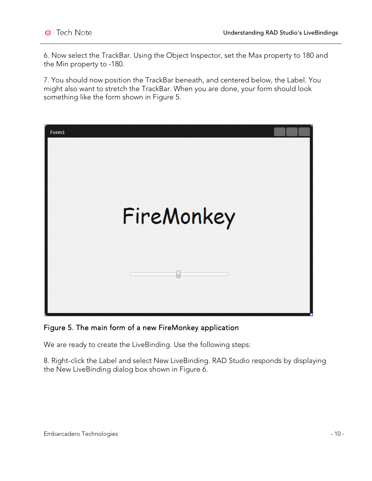6. Now select the TrackBar. Using the Object Inspector, set the Max property to 180 and the Min property to -180.

7. You should now position the TrackBar beneath, and centered below, the Label. You might also want to stretch the TrackBar. When you are done, your form should look something like the form shown in Figure 5.



#### Figure 5. The main form of a new FireMonkey application

We are ready to create the LiveBinding. Use the following steps:

8. Right-click the Label and select New LiveBinding. RAD Studio responds by displaying the New LiveBinding dialog box shown in Figure 6.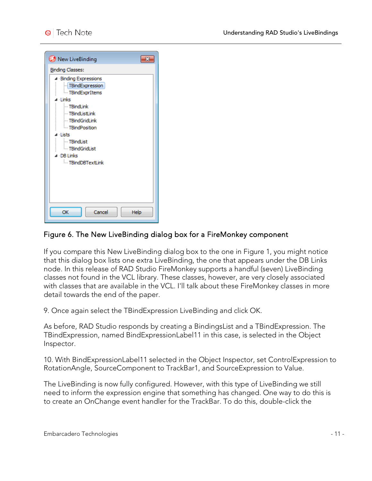| New LiveBinding                                                                                                                        |
|----------------------------------------------------------------------------------------------------------------------------------------|
| <b>Binding Classes:</b><br>4 Binding Expressions<br>TBindExpression<br>- TBindExprItems<br>⊿ Links<br>--- TBindLink<br>- TBindListLink |
| <b>TBindGridLink</b><br>- TBindPosition<br><b>Lists</b><br>- TBindList<br><b>E</b> mdGridList<br>⊿ DB Links<br>TBindDBTextLink         |
| Help<br>OK<br>Cancel                                                                                                                   |

#### Figure 6. The New LiveBinding dialog box for a FireMonkey component

If you compare this New LiveBinding dialog box to the one in Figure 1, you might notice that this dialog box lists one extra LiveBinding, the one that appears under the DB Links node. In this release of RAD Studio FireMonkey supports a handful (seven) LiveBinding classes not found in the VCL library. These classes, however, are very closely associated with classes that are available in the VCL. I'll talk about these FireMonkey classes in more detail towards the end of the paper.

9. Once again select the TBindExpression LiveBinding and click OK.

As before, RAD Studio responds by creating a BindingsList and a TBindExpression. The TBindExpression, named BindExpressionLabel11 in this case, is selected in the Object Inspector.

10. With BindExpressionLabel11 selected in the Object Inspector, set ControlExpression to RotationAngle, SourceComponent to TrackBar1, and SourceExpression to Value.

The LiveBinding is now fully configured. However, with this type of LiveBinding we still need to inform the expression engine that something has changed. One way to do this is to create an OnChange event handler for the TrackBar. To do this, double-click the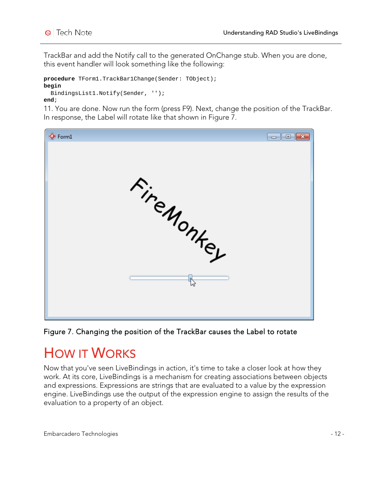TrackBar and add the Notify call to the generated OnChange stub. When you are done, this event handler will look something like the following:

```
procedure TForm1.TrackBar1Change(Sender: TObject);
begin
   BindingsList1.Notify(Sender, '');
```
**end**;

11. You are done. Now run the form (press F9). Next, change the position of the TrackBar. In response, the Label will rotate like that shown in Figure 7.



Figure 7. Changing the position of the TrackBar causes the Label to rotate

## **HOW IT WORKS**

Now that you've seen LiveBindings in action, it's time to take a closer look at how they work. At its core, LiveBindings is a mechanism for creating associations between objects and expressions. Expressions are strings that are evaluated to a value by the expression engine. LiveBindings use the output of the expression engine to assign the results of the evaluation to a property of an object.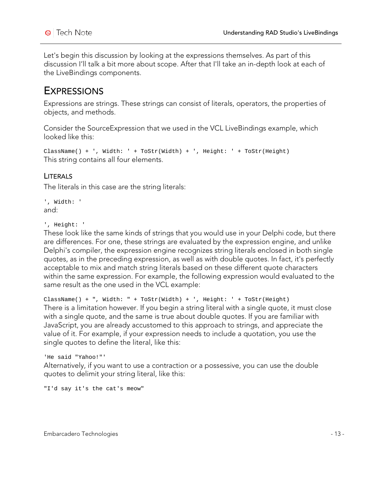Let's begin this discussion by looking at the expressions themselves. As part of this discussion I'll talk a bit more about scope. After that I'll take an in-depth look at each of the LiveBindings components.

### **EXPRESSIONS**

Expressions are strings. These strings can consist of literals, operators, the properties of objects, and methods.

Consider the SourceExpression that we used in the VCL LiveBindings example, which looked like this:

```
ClassName() + ', Width: ' + ToStr(Width) + ', Height: ' + ToStr(Height) 
This string contains all four elements.
```
#### LITERALS

The literals in this case are the string literals:

```
', Width: '
and:
```
', Height: '

These look like the same kinds of strings that you would use in your Delphi code, but there are differences. For one, these strings are evaluated by the expression engine, and unlike Delphi's compiler, the expression engine recognizes string literals enclosed in both single quotes, as in the preceding expression, as well as with double quotes. In fact, it's perfectly acceptable to mix and match string literals based on these different quote characters within the same expression. For example, the following expression would evaluated to the same result as the one used in the VCL example:

ClassName() + ", Width: " + ToStr(Width) + ', Height: ' + ToStr(Height) There is a limitation however. If you begin a string literal with a single quote, it must close with a single quote, and the same is true about double quotes. If you are familiar with JavaScript, you are already accustomed to this approach to strings, and appreciate the value of it. For example, if your expression needs to include a quotation, you use the single quotes to define the literal, like this:

```
'He said "Yahoo!"'
```
Alternatively, if you want to use a contraction or a possessive, you can use the double quotes to delimit your string literal, like this:

"I'd say it's the cat's meow"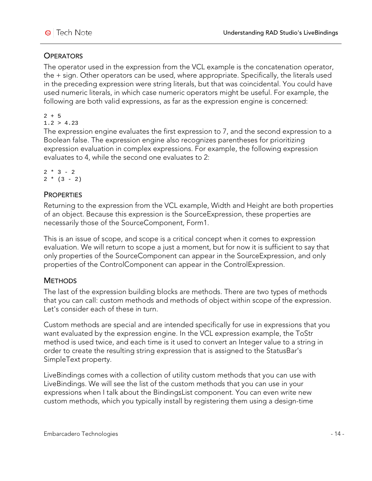### **OPERATORS**

The operator used in the expression from the VCL example is the concatenation operator, the + sign. Other operators can be used, where appropriate. Specifically, the literals used in the preceding expression were string literals, but that was coincidental. You could have used numeric literals, in which case numeric operators might be useful. For example, the following are both valid expressions, as far as the expression engine is concerned:

 $2 + 5$  $1.2 > 4.23$ 

The expression engine evaluates the first expression to 7, and the second expression to a Boolean false. The expression engine also recognizes parentheses for prioritizing expression evaluation in complex expressions. For example, the following expression evaluates to 4, while the second one evaluates to 2:

```
2 * 3 - 22 * (3 - 2)
```
#### **PROPERTIES**

Returning to the expression from the VCL example, Width and Height are both properties of an object. Because this expression is the SourceExpression, these properties are necessarily those of the SourceComponent, Form1.

This is an issue of scope, and scope is a critical concept when it comes to expression evaluation. We will return to scope a just a moment, but for now it is sufficient to say that only properties of the SourceComponent can appear in the SourceExpression, and only properties of the ControlComponent can appear in the ControlExpression.

### **METHODS**

The last of the expression building blocks are methods. There are two types of methods that you can call: custom methods and methods of object within scope of the expression. Let's consider each of these in turn.

Custom methods are special and are intended specifically for use in expressions that you want evaluated by the expression engine. In the VCL expression example, the ToStr method is used twice, and each time is it used to convert an Integer value to a string in order to create the resulting string expression that is assigned to the StatusBar's SimpleText property.

LiveBindings comes with a collection of utility custom methods that you can use with LiveBindings. We will see the list of the custom methods that you can use in your expressions when I talk about the BindingsList component. You can even write new custom methods, which you typically install by registering them using a design-time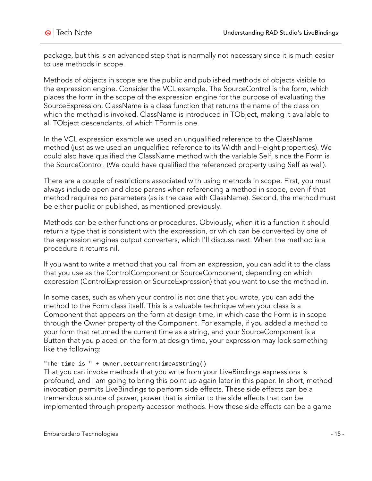package, but this is an advanced step that is normally not necessary since it is much easier to use methods in scope.

Methods of objects in scope are the public and published methods of objects visible to the expression engine. Consider the VCL example. The SourceControl is the form, which places the form in the scope of the expression engine for the purpose of evaluating the SourceExpression. ClassName is a class function that returns the name of the class on which the method is invoked. ClassName is introduced in TObject, making it available to all TObject descendants, of which TForm is one.

In the VCL expression example we used an unqualified reference to the ClassName method (just as we used an unqualified reference to its Width and Height properties). We could also have qualified the ClassName method with the variable Self, since the Form is the SourceControl. (We could have qualified the referenced property using Self as well).

There are a couple of restrictions associated with using methods in scope. First, you must always include open and close parens when referencing a method in scope, even if that method requires no parameters (as is the case with ClassName). Second, the method must be either public or published, as mentioned previously.

Methods can be either functions or procedures. Obviously, when it is a function it should return a type that is consistent with the expression, or which can be converted by one of the expression engines output converters, which I'll discuss next. When the method is a procedure it returns nil.

If you want to write a method that you call from an expression, you can add it to the class that you use as the ControlComponent or SourceComponent, depending on which expression (ControlExpression or SourceExpression) that you want to use the method in.

In some cases, such as when your control is not one that you wrote, you can add the method to the Form class itself. This is a valuable technique when your class is a Component that appears on the form at design time, in which case the Form is in scope through the Owner property of the Component. For example, if you added a method to your form that returned the current time as a string, and your SourceComponent is a Button that you placed on the form at design time, your expression may look something like the following:

#### "The time is " + Owner.GetCurrentTimeAsString()

That you can invoke methods that you write from your LiveBindings expressions is profound, and I am going to bring this point up again later in this paper. In short, method invocation permits LiveBindings to perform side effects. These side effects can be a tremendous source of power, power that is similar to the side effects that can be implemented through property accessor methods. How these side effects can be a game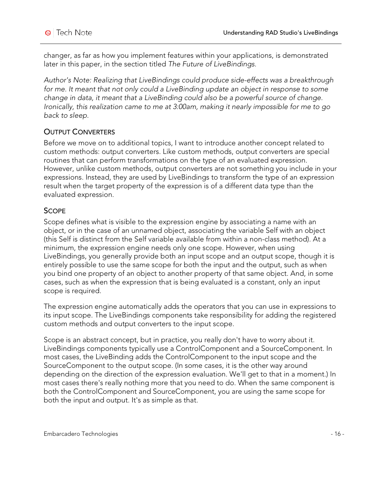changer, as far as how you implement features within your applications, is demonstrated later in this paper, in the section titled *The Future of LiveBindings*.

*Author's Note: Realizing that LiveBindings could produce side-effects was a breakthrough*  for me. It meant that not only could a LiveBinding update an object in response to some *change in data, it meant that a LiveBinding could also be a powerful source of change. Ironically, this realization came to me at 3:00am, making it nearly impossible for me to go back to sleep.* 

### OUTPUT CONVERTERS

Before we move on to additional topics, I want to introduce another concept related to custom methods: output converters. Like custom methods, output converters are special routines that can perform transformations on the type of an evaluated expression. However, unlike custom methods, output converters are not something you include in your expressions. Instead, they are used by LiveBindings to transform the type of an expression result when the target property of the expression is of a different data type than the evaluated expression.

#### **SCOPE**

Scope defines what is visible to the expression engine by associating a name with an object, or in the case of an unnamed object, associating the variable Self with an object (this Self is distinct from the Self variable available from within a non-class method). At a minimum, the expression engine needs only one scope. However, when using LiveBindings, you generally provide both an input scope and an output scope, though it is entirely possible to use the same scope for both the input and the output, such as when you bind one property of an object to another property of that same object. And, in some cases, such as when the expression that is being evaluated is a constant, only an input scope is required.

The expression engine automatically adds the operators that you can use in expressions to its input scope. The LiveBindings components take responsibility for adding the registered custom methods and output converters to the input scope.

Scope is an abstract concept, but in practice, you really don't have to worry about it. LiveBindings components typically use a ControlComponent and a SourceComponent. In most cases, the LiveBinding adds the ControlComponent to the input scope and the SourceComponent to the output scope. (In some cases, it is the other way around depending on the direction of the expression evaluation. We'll get to that in a moment.) In most cases there's really nothing more that you need to do. When the same component is both the ControlComponent and SourceComponent, you are using the same scope for both the input and output. It's as simple as that.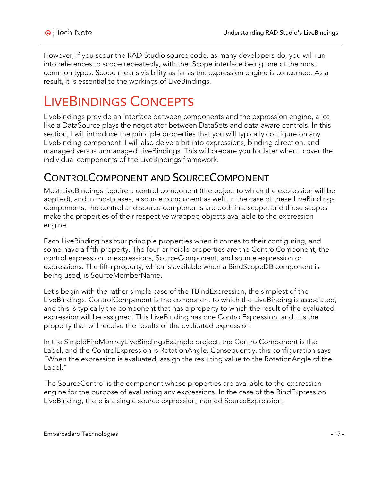However, if you scour the RAD Studio source code, as many developers do, you will run into references to scope repeatedly, with the IScope interface being one of the most common types. Scope means visibility as far as the expression engine is concerned. As a result, it is essential to the workings of LiveBindings.

# LIVEBINDINGS CONCEPTS

LiveBindings provide an interface between components and the expression engine, a lot like a DataSource plays the negotiator between DataSets and data-aware controls. In this section, I will introduce the principle properties that you will typically configure on any LiveBinding component. I will also delve a bit into expressions, binding direction, and managed versus unmanaged LiveBindings. This will prepare you for later when I cover the individual components of the LiveBindings framework.

## CONTROLCOMPONENT AND SOURCECOMPONENT

Most LiveBindings require a control component (the object to which the expression will be applied), and in most cases, a source component as well. In the case of these LiveBindings components, the control and source components are both in a scope, and these scopes make the properties of their respective wrapped objects available to the expression engine.

Each LiveBinding has four principle properties when it comes to their configuring, and some have a fifth property. The four principle properties are the ControlComponent, the control expression or expressions, SourceComponent, and source expression or expressions. The fifth property, which is available when a BindScopeDB component is being used, is SourceMemberName.

Let's begin with the rather simple case of the TBindExpression, the simplest of the LiveBindings. ControlComponent is the component to which the LiveBinding is associated, and this is typically the component that has a property to which the result of the evaluated expression will be assigned. This LiveBinding has one ControlExpression, and it is the property that will receive the results of the evaluated expression.

In the SimpleFireMonkeyLiveBindingsExample project, the ControlComponent is the Label, and the ControlExpression is RotationAngle. Consequently, this configuration says "When the expression is evaluated, assign the resulting value to the RotationAngle of the Label<sup>"</sup>

The SourceControl is the component whose properties are available to the expression engine for the purpose of evaluating any expressions. In the case of the BindExpression LiveBinding, there is a single source expression, named SourceExpression.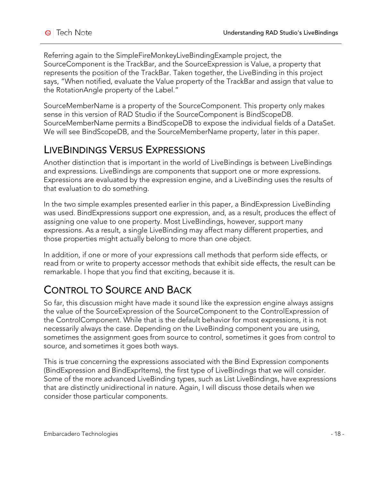Referring again to the SimpleFireMonkeyLiveBindingExample project, the SourceComponent is the TrackBar, and the SourceExpression is Value, a property that represents the position of the TrackBar. Taken together, the LiveBinding in this project says, "When notified, evaluate the Value property of the TrackBar and assign that value to the RotationAngle property of the Label."

SourceMemberName is a property of the SourceComponent. This property only makes sense in this version of RAD Studio if the SourceComponent is BindScopeDB. SourceMemberName permits a BindScopeDB to expose the individual fields of a DataSet. We will see BindScopeDB, and the SourceMemberName property, later in this paper.

### LIVEBINDINGS VERSUS EXPRESSIONS

Another distinction that is important in the world of LiveBindings is between LiveBindings and expressions. LiveBindings are components that support one or more expressions. Expressions are evaluated by the expression engine, and a LiveBinding uses the results of that evaluation to do something.

In the two simple examples presented earlier in this paper, a BindExpression LiveBinding was used. BindExpressions support one expression, and, as a result, produces the effect of assigning one value to one property. Most LiveBindings, however, support many expressions. As a result, a single LiveBinding may affect many different properties, and those properties might actually belong to more than one object.

In addition, if one or more of your expressions call methods that perform side effects, or read from or write to property accessor methods that exhibit side effects, the result can be remarkable. I hope that you find that exciting, because it is.

## CONTROL TO SOURCE AND BACK

So far, this discussion might have made it sound like the expression engine always assigns the value of the SourceExpression of the SourceComponent to the ControlExpression of the ControlComponent. While that is the default behavior for most expressions, it is not necessarily always the case. Depending on the LiveBinding component you are using, sometimes the assignment goes from source to control, sometimes it goes from control to source, and sometimes it goes both ways.

This is true concerning the expressions associated with the Bind Expression components (BindExpression and BindExprItems), the first type of LiveBindings that we will consider. Some of the more advanced LiveBinding types, such as List LiveBindings, have expressions that are distinctly unidirectional in nature. Again, I will discuss those details when we consider those particular components.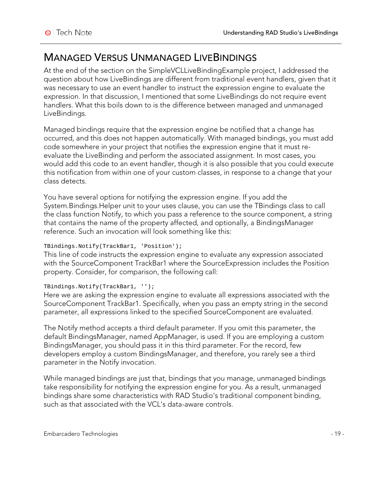### MANAGED VERSUS UNMANAGED LIVEBINDINGS

At the end of the section on the SimpleVCLLiveBindingExample project, I addressed the question about how LiveBindings are different from traditional event handlers, given that it was necessary to use an event handler to instruct the expression engine to evaluate the expression. In that discussion, I mentioned that some LiveBindings do not require event handlers. What this boils down to is the difference between managed and unmanaged LiveBindings.

Managed bindings require that the expression engine be notified that a change has occurred, and this does not happen automatically. With managed bindings, you must add code somewhere in your project that notifies the expression engine that it must reevaluate the LiveBinding and perform the associated assignment. In most cases, you would add this code to an event handler, though it is also possible that you could execute this notification from within one of your custom classes, in response to a change that your class detects.

You have several options for notifying the expression engine. If you add the System.Bindings.Helper unit to your uses clause, you can use the TBindings class to call the class function Notify, to which you pass a reference to the source component, a string that contains the name of the property affected, and optionally, a BindingsManager reference. Such an invocation will look something like this:

#### TBindings.Notify(TrackBar1, 'Position');

This line of code instructs the expression engine to evaluate any expression associated with the SourceComponent TrackBar1 where the SourceExpression includes the Position property. Consider, for comparison, the following call:

#### TBindings.Notify(TrackBar1, '');

Here we are asking the expression engine to evaluate all expressions associated with the SourceComponent TrackBar1. Specifically, when you pass an empty string in the second parameter, all expressions linked to the specified SourceComponent are evaluated.

The Notify method accepts a third default parameter. If you omit this parameter, the default BindingsManager, named AppManager, is used. If you are employing a custom BindingsManager, you should pass it in this third parameter. For the record, few developers employ a custom BindingsManager, and therefore, you rarely see a third parameter in the Notify invocation.

While managed bindings are just that, bindings that you manage, unmanaged bindings take responsibility for notifying the expression engine for you. As a result, unmanaged bindings share some characteristics with RAD Studio's traditional component binding, such as that associated with the VCL's data-aware controls.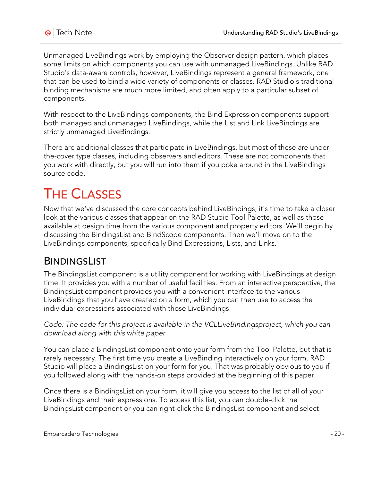Unmanaged LiveBindings work by employing the Observer design pattern, which places some limits on which components you can use with unmanaged LiveBindings. Unlike RAD Studio's data-aware controls, however, LiveBindings represent a general framework, one that can be used to bind a wide variety of components or classes. RAD Studio's traditional binding mechanisms are much more limited, and often apply to a particular subset of components.

With respect to the LiveBindings components, the Bind Expression components support both managed and unmanaged LiveBindings, while the List and Link LiveBindings are strictly unmanaged LiveBindings.

There are additional classes that participate in LiveBindings, but most of these are underthe-cover type classes, including observers and editors. These are not components that you work with directly, but you will run into them if you poke around in the LiveBindings source code.

# THE CLASSES

Now that we've discussed the core concepts behind LiveBindings, it's time to take a closer look at the various classes that appear on the RAD Studio Tool Palette, as well as those available at design time from the various component and property editors. We'll begin by discussing the BindingsList and BindScope components. Then we'll move on to the LiveBindings components, specifically Bind Expressions, Lists, and Links.

## **BINDINGSLIST**

The BindingsList component is a utility component for working with LiveBindings at design time. It provides you with a number of useful facilities. From an interactive perspective, the BindingsList component provides you with a convenient interface to the various LiveBindings that you have created on a form, which you can then use to access the individual expressions associated with those LiveBindings.

*Code: The code for this project is available in the VCLLiveBindingsproject, which you can download along with this white paper.*

You can place a BindingsList component onto your form from the Tool Palette, but that is rarely necessary. The first time you create a LiveBinding interactively on your form, RAD Studio will place a BindingsList on your form for you. That was probably obvious to you if you followed along with the hands-on steps provided at the beginning of this paper.

Once there is a BindingsList on your form, it will give you access to the list of all of your LiveBindings and their expressions. To access this list, you can double-click the BindingsList component or you can right-click the BindingsList component and select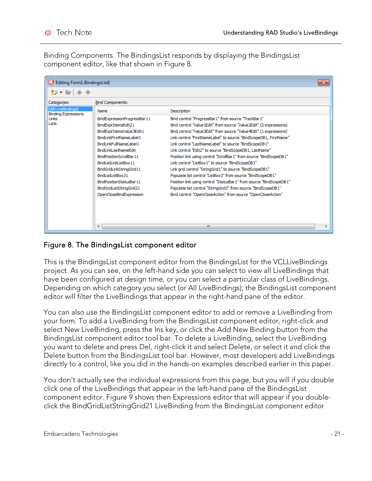Binding Components. The BindingsList responds by displaying the BindingsList component editor, like that shown in Figure 8.

| Editing Form1.BindingsList1<br>$-x$              |                                                                                                                                                                                                                                                                                                                                                    |                                                                                                                                                                                                                                                                                                                                                                                                                                                                                                                                                                                                                                                                                                                                                                                                                                                             |  |  |
|--------------------------------------------------|----------------------------------------------------------------------------------------------------------------------------------------------------------------------------------------------------------------------------------------------------------------------------------------------------------------------------------------------------|-------------------------------------------------------------------------------------------------------------------------------------------------------------------------------------------------------------------------------------------------------------------------------------------------------------------------------------------------------------------------------------------------------------------------------------------------------------------------------------------------------------------------------------------------------------------------------------------------------------------------------------------------------------------------------------------------------------------------------------------------------------------------------------------------------------------------------------------------------------|--|--|
| *⊇ ▼ Nell                                        |                                                                                                                                                                                                                                                                                                                                                    |                                                                                                                                                                                                                                                                                                                                                                                                                                                                                                                                                                                                                                                                                                                                                                                                                                                             |  |  |
| Categories:                                      | <b>Bind Components:</b>                                                                                                                                                                                                                                                                                                                            |                                                                                                                                                                                                                                                                                                                                                                                                                                                                                                                                                                                                                                                                                                                                                                                                                                                             |  |  |
| (All LiveBindings)<br><b>Binding Expressions</b> | Name                                                                                                                                                                                                                                                                                                                                               | Description                                                                                                                                                                                                                                                                                                                                                                                                                                                                                                                                                                                                                                                                                                                                                                                                                                                 |  |  |
| Links<br>Lists                                   | BindExpressionProgressBar11<br>BindExprItemsEdit21<br>BindExprItemsValue3Edit1<br>BindLinkFirstNameLabel1<br>BindLinkFullNameLabeL1<br>BindLinkLastNameEdit<br>BindPositionScrollBar11<br>BindListLinkListBox11<br>BindGridLinkStringGrid11<br>BindListListBox31<br>BindPositionStatusBar11<br>BindGridListStringGrid21<br>OpenCloseBindExpression | Bind control "ProgressBar1" from source "TrackBar1"<br>Bind control "Value 1Edit" from source "Value 2Edit" (2 expressions)<br>Bind control "Value3Edit" from source "Value4Edit" (1 expressions)<br>Link control "FirstNameLabel" to source "BindScopeDB1, FirstName"<br>Link control "LastNameLabel" to source "BindScopeDB1"<br>Link control "Edit2" to source "BindScopeDB1, LastName"<br>Position link using control "ScrollBar 1" from source "BindScopeDB1"<br>Link control "ListBox1" to source "BindScopeDB1"<br>Link grid control "StringGrid1" to source "BindScopeDB1"<br>Populate list control "ListBox3" from source "BindScopeDB1"<br>Position link using control "StatusBar 1" from source "BindScopeDB1"<br>Populate list control "StringGrid2" from source "BindScopeDB1"<br>Bind control "OpenCloseAction" from source "OpenCloseAction" |  |  |
|                                                  | ∢                                                                                                                                                                                                                                                                                                                                                  | m.                                                                                                                                                                                                                                                                                                                                                                                                                                                                                                                                                                                                                                                                                                                                                                                                                                                          |  |  |

### Figure 8. The BindingsList component editor

This is the BindingsList component editor from the BindingsList for the VCLLiveBindings project. As you can see, on the left-hand side you can select to view all LiveBindings that have been configured at design time, or you can select a particular class of LiveBindings. Depending on which category you select (or All LiveBindings), the BindingsList component editor will filter the LiveBindings that appear in the right-hand pane of the editor.

You can also use the BindingsList component editor to add or remove a LiveBinding from your form. To add a LiveBinding from the BindingsList component editor, right-click and select New LiveBinding, press the Ins key, or click the Add New Binding button from the BindingsList component editor tool bar. To delete a LiveBinding, select the LiveBinding you want to delete and press Del, right-click it and select Delete, or select it and click the Delete button from the BindingsList tool bar. However, most developers add LiveBindings directly to a control, like you did in the hands-on examples described earlier in this paper.

You don't actually see the individual expressions from this page, but you will if you double click one of the LiveBindings that appear in the left-hand pane of the BindingsList component editor. Figure 9 shows then Expressions editor that will appear if you doubleclick the BindGridListStringGrid21 LiveBinding from the BindingsList component editor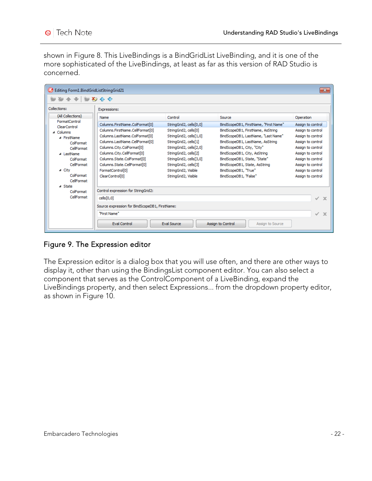shown in Figure 8. This LiveBindings is a BindGridList LiveBinding, and it is one of the more sophisticated of the LiveBindings, at least as far as this version of RAD Studio is concerned.

| Editing Form1.BindGridListStringGrid21<br>$-x$ |                                                |                         |                                       |                             |  |
|------------------------------------------------|------------------------------------------------|-------------------------|---------------------------------------|-----------------------------|--|
|                                                | 有全→ 肯为令令                                       |                         |                                       |                             |  |
| Collections:                                   | Expressions:                                   |                         |                                       |                             |  |
| (All Collections)                              | Name                                           | Control                 | Source                                | Operation                   |  |
| FormatControl<br>ClearControl                  | Columns.FirstName.ColFormat[0]                 | StringGrid2, cells[0,0] | BindScopeDB1, FirstName, "First Name" | Assign to control           |  |
| 4 Columns                                      | Columns.FirstName.CellFormat[0]                | StringGrid2, cells[0]   | BindScopeDB1, FirstName, AsString     | Assign to control           |  |
| ⊿ FirstName                                    | Columns.LastName.ColFormat[0]                  | StringGrid2, cells[1,0] | BindScopeDB1, LastName, "Last Name"   | Assign to control           |  |
| ColFormat                                      | Columns.LastName.CellFormat[0]                 | StringGrid2, cells[1]   | BindScopeDB1, LastName, AsString      | Assign to control           |  |
| CellFormat                                     | Columns.City.ColFormat[0]                      | StringGrid2, cells[2,0] | BindScopeDB1, City, "City"            | Assign to control           |  |
| 4 LastName                                     | Columns.City.CellFormat[0]                     | StringGrid2, cells[2]   | BindScopeDB1, City, AsString          | Assign to control           |  |
| ColFormat                                      | Columns.State.ColFormat[0]                     | StringGrid2, cells[3,0] | BindScopeDB1, State, "State"          | Assign to control           |  |
| CellFormat                                     | Columns.State.CellFormat[0]                    | StringGrid2, cells[3]   | BindScopeDB1, State, AsString         | Assign to control           |  |
| ⊿ City                                         | FormatControl[0]                               | StringGrid2, Visible    | BindScopeDB1, "True"                  | Assign to control           |  |
| ColFormat<br>CellFormat                        | ClearControl[0]                                | StringGrid2, Visible    | BindScopeDB1, "False"                 | Assign to control           |  |
| ⊿ State                                        |                                                |                         |                                       |                             |  |
| ColFormat                                      | Control expression for StringGrid2:            |                         |                                       |                             |  |
| CellFormat                                     | cells[0,0]                                     |                         |                                       | $\checkmark$<br>$\mathbf x$ |  |
|                                                | Source expression for BindScopeDB1, FirstName: |                         |                                       |                             |  |
|                                                | "First Name"                                   |                         |                                       | $\checkmark$<br>$\mathbf x$ |  |
|                                                | Eval Control                                   | Eval Source             | Assign to Control<br>Assign to Source |                             |  |

Figure 9. The Expression editor

The Expression editor is a dialog box that you will use often, and there are other ways to display it, other than using the BindingsList component editor. You can also select a component that serves as the ControlComponent of a LiveBinding, expand the LiveBindings property, and then select Expressions... from the dropdown property editor, as shown in Figure 10.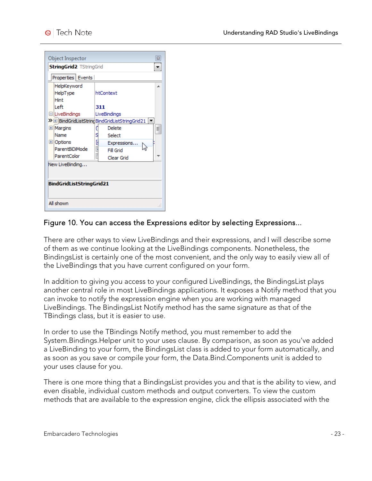| Object Inspector<br>窓                                                                                                              |  |  |
|------------------------------------------------------------------------------------------------------------------------------------|--|--|
| <b>StringGrid2 TStringGrid</b>                                                                                                     |  |  |
| Properties   Events                                                                                                                |  |  |
| HelpKeyword<br>▲<br>HelpType<br>htContext<br>Hint                                                                                  |  |  |
| l eft<br>311<br>□LiveBindings<br>LiveBindings                                                                                      |  |  |
| > BindGridListStringBindGridListStringGrid21  <br>E Margins<br>Delete<br>Ę<br>Name<br>s<br>Select<br>l<br>国 Options<br>Expressions |  |  |
| ParentBiDiMode<br>Fill Grid<br>ParentColor<br>Clear Grid                                                                           |  |  |
| New LiveBinding<br>BindGridListStringGrid21                                                                                        |  |  |
| All shown                                                                                                                          |  |  |

#### Figure 10. You can access the Expressions editor by selecting Expressions...

There are other ways to view LiveBindings and their expressions, and I will describe some of them as we continue looking at the LiveBindings components. Nonetheless, the BindingsList is certainly one of the most convenient, and the only way to easily view all of the LiveBindings that you have current configured on your form.

In addition to giving you access to your configured LiveBindings, the BindingsList plays another central role in most LiveBindings applications. It exposes a Notify method that you can invoke to notify the expression engine when you are working with managed LiveBindings. The BindingsList Notify method has the same signature as that of the TBindings class, but it is easier to use.

In order to use the TBindings Notify method, you must remember to add the System.Bindings.Helper unit to your uses clause. By comparison, as soon as you've added a LiveBinding to your form, the BindingsList class is added to your form automatically, and as soon as you save or compile your form, the Data.Bind.Components unit is added to your uses clause for you.

There is one more thing that a BindingsList provides you and that is the ability to view, and even disable, individual custom methods and output converters. To view the custom methods that are available to the expression engine, click the ellipsis associated with the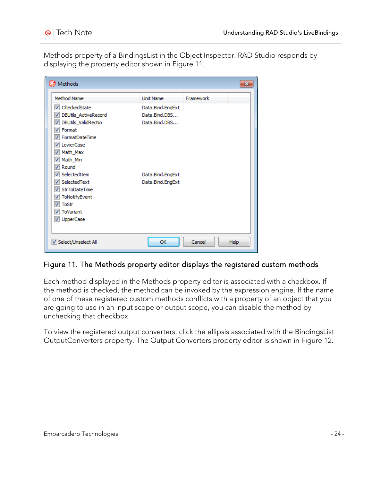Methods property of a BindingsList in the Object Inspector. RAD Studio responds by displaying the property editor shown in Figure 11.

| Methods                            |                  |                |
|------------------------------------|------------------|----------------|
| <b>Method Name</b>                 | Unit Name        | Framework      |
| CheckedState<br>✓                  | Data.Bind.EngExt |                |
| DBUtils_ActiveRecord               | Data.Bind.DBS    |                |
| DBUtils_ValidRecNo<br>$\checkmark$ | Data.Bind.DBS    |                |
| Format<br>√                        |                  |                |
| FormatDateTime                     |                  |                |
| LowerCase                          |                  |                |
| Math_Max                           |                  |                |
| Math_Min                           |                  |                |
| Round                              |                  |                |
| SelectedItem<br>√                  | Data.Bind.EngExt |                |
| SelectedText                       | Data.Bind.EngExt |                |
| StrToDateTime                      |                  |                |
| ToNotifyEvent                      |                  |                |
| ToStr<br>√                         |                  |                |
| ToVariant                          |                  |                |
| V UpperCase                        |                  |                |
|                                    |                  |                |
| V Select/Unselect All              | OK               | Help<br>Cancel |

#### Figure 11. The Methods property editor displays the registered custom methods

Each method displayed in the Methods property editor is associated with a checkbox. If the method is checked, the method can be invoked by the expression engine. If the name of one of these registered custom methods conflicts with a property of an object that you are going to use in an input scope or output scope, you can disable the method by unchecking that checkbox.

To view the registered output converters, click the ellipsis associated with the BindingsList OutputConverters property. The Output Converters property editor is shown in Figure 12.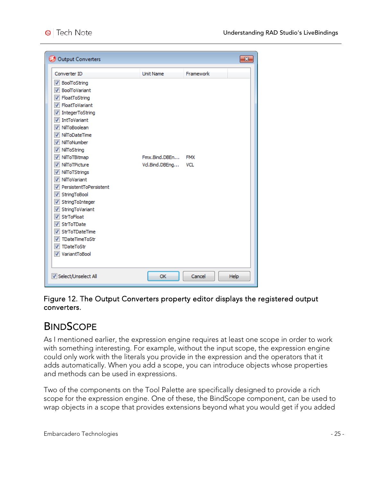| Converter ID                                      | <b>Unit Name</b> | Framework  |  |
|---------------------------------------------------|------------------|------------|--|
| BoolToString<br>$\overline{\mathcal{A}}$          |                  |            |  |
| <b>V</b> BoolToVariant                            |                  |            |  |
| V FloatToString                                   |                  |            |  |
| <b>V</b> FloatToVariant                           |                  |            |  |
| IntegerToString                                   |                  |            |  |
| <b>IntToVariant</b><br>V                          |                  |            |  |
| NilToBoolean<br>$\overline{\mathcal{A}}$          |                  |            |  |
| V NilToDateTime                                   |                  |            |  |
| NilToNumber<br>⊽                                  |                  |            |  |
| V NilToString                                     |                  |            |  |
| V NilToTBitmap                                    | Fmx.Bind.DBEn    | <b>FMX</b> |  |
| NilToTPicture<br>√                                | Vd.Bind.DBEng    | VCL        |  |
| V NilToTStrings                                   |                  |            |  |
| V NilToVariant                                    |                  |            |  |
| V PersistentToPersistent                          |                  |            |  |
| V StringToBool                                    |                  |            |  |
| V StringToInteger                                 |                  |            |  |
| StringToVariant<br>✓                              |                  |            |  |
| <b>StrToFloat</b><br>$\overline{\mathcal{A}}$     |                  |            |  |
| <b>StrToTDate</b><br>√                            |                  |            |  |
| <b>StrToTDateTime</b><br>$\overline{\mathcal{A}}$ |                  |            |  |
| <b>TDateTimeToStr</b><br>√                        |                  |            |  |
| TDateToStr<br>√                                   |                  |            |  |
| V VariantToBool                                   |                  |            |  |
|                                                   |                  |            |  |

Figure 12. The Output Converters property editor displays the registered output converters.

### **BINDSCOPE**

As I mentioned earlier, the expression engine requires at least one scope in order to work with something interesting. For example, without the input scope, the expression engine could only work with the literals you provide in the expression and the operators that it adds automatically. When you add a scope, you can introduce objects whose properties and methods can be used in expressions.

Two of the components on the Tool Palette are specifically designed to provide a rich scope for the expression engine. One of these, the BindScope component, can be used to wrap objects in a scope that provides extensions beyond what you would get if you added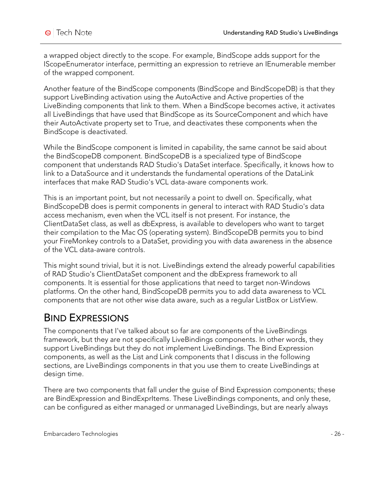a wrapped object directly to the scope. For example, BindScope adds support for the IScopeEnumerator interface, permitting an expression to retrieve an IEnumerable member of the wrapped component.

Another feature of the BindScope components (BindScope and BindScopeDB) is that they support LiveBinding activation using the AutoActive and Active properties of the LiveBinding components that link to them. When a BindScope becomes active, it activates all LiveBindings that have used that BindScope as its SourceComponent and which have their AutoActivate property set to True, and deactivates these components when the BindScope is deactivated.

While the BindScope component is limited in capability, the same cannot be said about the BindScopeDB component. BindScopeDB is a specialized type of BindScope component that understands RAD Studio's DataSet interface. Specifically, it knows how to link to a DataSource and it understands the fundamental operations of the DataLink interfaces that make RAD Studio's VCL data-aware components work.

This is an important point, but not necessarily a point to dwell on. Specifically, what BindScopeDB does is permit components in general to interact with RAD Studio's data access mechanism, even when the VCL itself is not present. For instance, the ClientDataSet class, as well as dbExpress, is available to developers who want to target their compilation to the Mac OS (operating system). BindScopeDB permits you to bind your FireMonkey controls to a DataSet, providing you with data awareness in the absence of the VCL data-aware controls.

This might sound trivial, but it is not. LiveBindings extend the already powerful capabilities of RAD Studio's ClientDataSet component and the dbExpress framework to all components. It is essential for those applications that need to target non-Windows platforms. On the other hand, BindScopeDB permits you to add data awareness to VCL components that are not other wise data aware, such as a regular ListBox or ListView.

## BIND EXPRESSIONS

The components that I've talked about so far are components of the LiveBindings framework, but they are not specifically LiveBindings components. In other words, they support LiveBindings but they do not implement LiveBindings. The Bind Expression components, as well as the List and Link components that I discuss in the following sections, are LiveBindings components in that you use them to create LiveBindings at design time.

There are two components that fall under the guise of Bind Expression components; these are BindExpression and BindExprItems. These LiveBindings components, and only these, can be configured as either managed or unmanaged LiveBindings, but are nearly always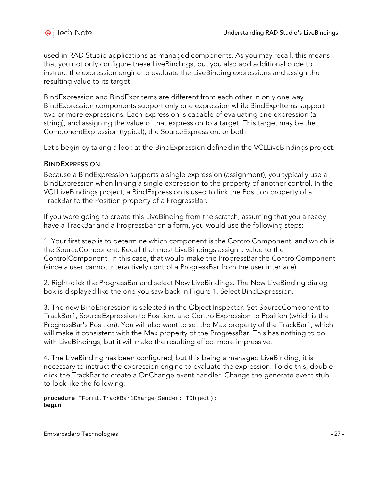used in RAD Studio applications as managed components. As you may recall, this means that you not only configure these LiveBindings, but you also add additional code to instruct the expression engine to evaluate the LiveBinding expressions and assign the resulting value to its target.

BindExpression and BindExprItems are different from each other in only one way. BindExpression components support only one expression while BindExprItems support two or more expressions. Each expression is capable of evaluating one expression (a string), and assigning the value of that expression to a target. This target may be the ComponentExpression (typical), the SourceExpression, or both.

Let's begin by taking a look at the BindExpression defined in the VCLLiveBindings project.

#### **BINDEXPRESSION**

Because a BindExpression supports a single expression (assignment), you typically use a BindExpression when linking a single expression to the property of another control. In the VCLLiveBindings project, a BindExpression is used to link the Position property of a TrackBar to the Position property of a ProgressBar.

If you were going to create this LiveBinding from the scratch, assuming that you already have a TrackBar and a ProgressBar on a form, you would use the following steps:

1. Your first step is to determine which component is the ControlComponent, and which is the SourceComponent. Recall that most LiveBindings assign a value to the ControlComponent. In this case, that would make the ProgressBar the ControlComponent (since a user cannot interactively control a ProgressBar from the user interface).

2. Right-click the ProgressBar and select New LiveBindings. The New LiveBinding dialog box is displayed like the one you saw back in Figure 1. Select BindExpression.

3. The new BindExpression is selected in the Object Inspector. Set SourceComponent to TrackBar1, SourceExpression to Position, and ControlExpression to Position (which is the ProgressBar's Position). You will also want to set the Max property of the TrackBar1, which will make it consistent with the Max property of the ProgressBar. This has nothing to do with LiveBindings, but it will make the resulting effect more impressive.

4. The LiveBinding has been configured, but this being a managed LiveBinding, it is necessary to instruct the expression engine to evaluate the expression. To do this, doubleclick the TrackBar to create a OnChange event handler. Change the generate event stub to look like the following:

**procedure** TForm1.TrackBar1Change(Sender: TObject); **begin**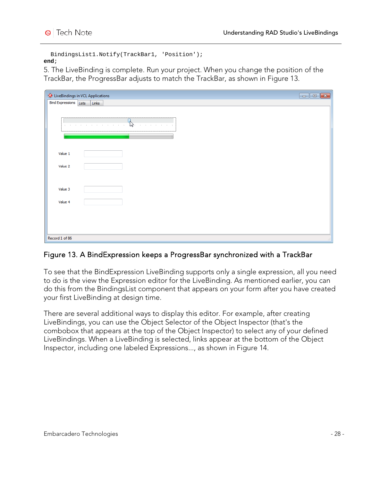```
 BindingsList1.Notify(TrackBar1, 'Position');
end;
```
5. The LiveBinding is complete. Run your project. When you change the position of the TrackBar, the ProgressBar adjusts to match the TrackBar, as shown in Figure 13.

|                            | <b>O</b> LiveBindings in VCL Applications                                                    | $\begin{array}{c} \hline \textbf{a} & \textbf{b} \end{array}$ |
|----------------------------|----------------------------------------------------------------------------------------------|---------------------------------------------------------------|
| <b>Bind Expressions</b>    | Lists<br>Links                                                                               |                                                               |
|                            |                                                                                              |                                                               |
| <b>COL</b><br>$\mathbb{R}$ | $\mathcal{P}$<br>and the company<br>The contract of the contract of the con-<br><b>COLLA</b> |                                                               |
|                            |                                                                                              |                                                               |
| Value 1                    |                                                                                              |                                                               |
| Value 2                    |                                                                                              |                                                               |
| Value 3                    |                                                                                              |                                                               |
| Value 4                    |                                                                                              |                                                               |
|                            |                                                                                              |                                                               |
| Record 1 of 86             |                                                                                              | $\mathbb{R}^2$                                                |

#### Figure 13. A BindExpression keeps a ProgressBar synchronized with a TrackBar

To see that the BindExpression LiveBinding supports only a single expression, all you need to do is the view the Expression editor for the LiveBinding. As mentioned earlier, you can do this from the BindingsList component that appears on your form after you have created your first LiveBinding at design time.

There are several additional ways to display this editor. For example, after creating LiveBindings, you can use the Object Selector of the Object Inspector (that's the combobox that appears at the top of the Object Inspector) to select any of your defined LiveBindings. When a LiveBinding is selected, links appear at the bottom of the Object Inspector, including one labeled Expressions..., as shown in Figure 14.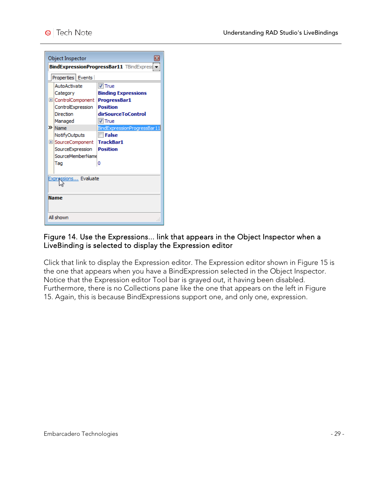| Object Inspector                                |                             |  |
|-------------------------------------------------|-----------------------------|--|
| <b>BindExpressionProgressBar11</b> TBindExpress |                             |  |
| Properties   Events                             |                             |  |
| AutoActivate                                    | $V$ True                    |  |
| Category                                        | <b>Binding Expressions</b>  |  |
| E ControlComponent                              | ProgressBar1                |  |
| ControlExpression                               | <b>Position</b>             |  |
| Direction                                       | dirSourceToControl          |  |
| Managed                                         | $V$ True                    |  |
| $\mathbf{\gg}$ Name                             | BindExpressionProgressBar11 |  |
| NotifyOutputs                                   | False                       |  |
| E SourceComponent                               | <b>TrackBar1</b>            |  |
| SourceExpression                                | <b>Position</b>             |  |
| SourceMemberName                                |                             |  |
| Tao                                             | Ω                           |  |
|                                                 |                             |  |
| Expressions Evaluate                            |                             |  |
|                                                 |                             |  |
|                                                 |                             |  |
| Name                                            |                             |  |
|                                                 |                             |  |
| All shown                                       |                             |  |

#### Figure 14. Use the Expressions... link that appears in the Object Inspector when a LiveBinding is selected to display the Expression editor

Click that link to display the Expression editor. The Expression editor shown in Figure 15 is the one that appears when you have a BindExpression selected in the Object Inspector. Notice that the Expression editor Tool bar is grayed out, it having been disabled. Furthermore, there is no Collections pane like the one that appears on the left in Figure 15. Again, this is because BindExpressions support one, and only one, expression.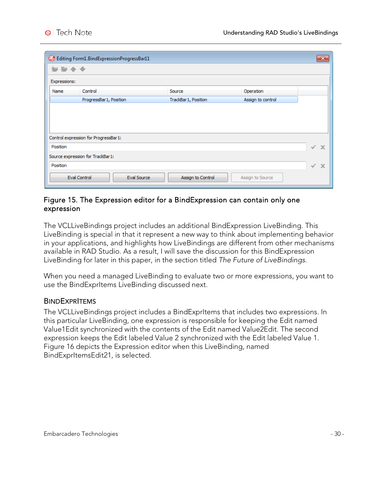|              | Editing Form1.BindExpressionProgressBar11 |                     |                   | $\mathbf{x}$     |
|--------------|-------------------------------------------|---------------------|-------------------|------------------|
| ⊁            | 有 全 专                                     |                     |                   |                  |
| Expressions: |                                           |                     |                   |                  |
| Name         | Control                                   | Source              | Operation         |                  |
|              | ProgressBar 1, Position                   | TrackBar1, Position | Assign to control |                  |
|              |                                           |                     |                   |                  |
|              |                                           |                     |                   |                  |
|              |                                           |                     |                   |                  |
|              | Control expression for ProgressBar1:      |                     |                   |                  |
|              |                                           |                     |                   |                  |
| Position     |                                           |                     |                   | ✓<br>$\mathbf x$ |
|              | Source expression for TrackBar1:          |                     |                   |                  |
| Position     |                                           |                     |                   | ✓<br>$\mathbf x$ |

#### Figure 15. The Expression editor for a BindExpression can contain only one expression

The VCLLiveBindings project includes an additional BindExpression LiveBinding. This LiveBinding is special in that it represent a new way to think about implementing behavior in your applications, and highlights how LiveBindings are different from other mechanisms available in RAD Studio. As a result, I will save the discussion for this BindExpression LiveBinding for later in this paper, in the section titled *The Future of LiveBindings*.

When you need a managed LiveBinding to evaluate two or more expressions, you want to use the BindExprItems LiveBinding discussed next.

#### **BINDEXPRITEMS**

The VCLLiveBindings project includes a BindExprItems that includes two expressions. In this particular LiveBinding, one expression is responsible for keeping the Edit named Value1Edit synchronized with the contents of the Edit named Value2Edit. The second expression keeps the Edit labeled Value 2 synchronized with the Edit labeled Value 1. Figure 16 depicts the Expression editor when this LiveBinding, named BindExprItemsEdit21, is selected.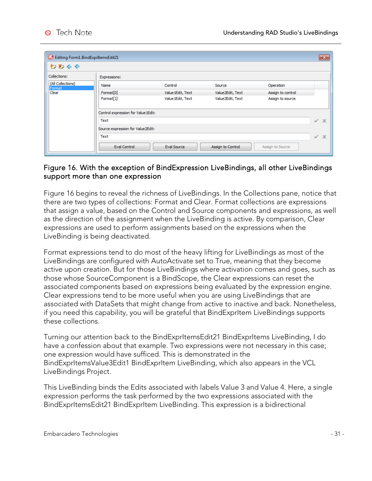| Editing Form1.BindExprItemsEdit21 |                                     |                    |                   |                   | $\mathbf{x}$                 |
|-----------------------------------|-------------------------------------|--------------------|-------------------|-------------------|------------------------------|
| わわるや                              |                                     |                    |                   |                   |                              |
| Collections:                      | Expressions:                        |                    |                   |                   |                              |
| (All Collections)<br>Format       | Name                                | Control            | Source            | Operation         |                              |
| Clear                             | Format <sup>[0]</sup>               | Value 1Edit, Text  | Value2Edit, Text  | Assign to control |                              |
|                                   | Format <sup>[1]</sup>               | Value 1Edit, Text  | Value2Edit, Text  | Assign to source  |                              |
|                                   | Control expression for Value 1Edit: |                    |                   |                   |                              |
|                                   | Text                                |                    |                   |                   | $\mathbf{x}$<br>$\checkmark$ |
|                                   | Source expression for Value2Edit:   |                    |                   |                   |                              |
|                                   | Text                                |                    |                   |                   | $\mathbf x$<br>$\checkmark$  |
|                                   | <b>Eval Control</b>                 | <b>Eval Source</b> | Assign to Control | Assign to Source  |                              |

#### Figure 16. With the exception of BindExpression LiveBindings, all other LiveBindings support more than one expression

Figure 16 begins to reveal the richness of LiveBindings. In the Collections pane, notice that there are two types of collections: Format and Clear. Format collections are expressions that assign a value, based on the Control and Source components and expressions, as well as the direction of the assignment when the LiveBinding is active. By comparison, Clear expressions are used to perform assignments based on the expressions when the LiveBinding is being deactivated.

Format expressions tend to do most of the heavy lifting for LiveBindings as most of the LiveBindings are configured with AutoActivate set to True, meaning that they become active upon creation. But for those LiveBindings where activation comes and goes, such as those whose SourceComponent is a BindScope, the Clear expressions can reset the associated components based on expressions being evaluated by the expression engine. Clear expressions tend to be more useful when you are using LiveBindings that are associated with DataSets that might change from active to inactive and back. Nonetheless, if you need this capability, you will be grateful that BindExprItem LiveBindings supports these collections.

Turning our attention back to the BindExprItemsEdit21 BindExprItems LiveBinding, I do have a confession about that example. Two expressions were not necessary in this case; one expression would have sufficed. This is demonstrated in the BindExprItemsValue3Edit1 BindExprItem LiveBinding, which also appears in the VCL LiveBindings Project.

This LiveBinding binds the Edits associated with labels Value 3 and Value 4. Here, a single expression performs the task performed by the two expressions associated with the BindExprItemsEdit21 BindExprItem LiveBinding. This expression is a bidirectional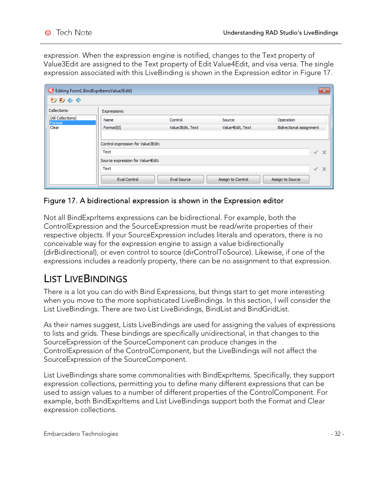expression. When the expression engine is notified, changes to the Text property of Value3Edit are assigned to the Text property of Edit Value4Edit, and visa versa. The single expression associated with this LiveBinding is shown in the Expression editor in Figure 17.

| Editing Form1.BindExprItemsValue3Edit1 |                                                                                                                |                  |                   | $\mathbf{x}$                                                   |
|----------------------------------------|----------------------------------------------------------------------------------------------------------------|------------------|-------------------|----------------------------------------------------------------|
| わわせぐ                                   |                                                                                                                |                  |                   |                                                                |
| Collections:                           | Expressions:                                                                                                   |                  |                   |                                                                |
| (All Collections)<br>Format            | Name                                                                                                           | Control          | Source            | Operation                                                      |
| Clear                                  | Format <sup>[0]</sup>                                                                                          | Value3Edit, Text | Value 4Edit, Text | Bidirectional assignment                                       |
|                                        | Control expression for Value3Edit:<br>Text<br>Source expression for Value4Edit:<br>Text<br><b>Eval Control</b> | Eval Source      | Assign to Control | ✓<br>$\mathbf{\times}$<br>$\mathbf x$<br>✓<br>Assign to Source |

#### Figure 17. A bidirectional expression is shown in the Expression editor

Not all BindExprItems expressions can be bidirectional. For example, both the ControlExpression and the SourceExpression must be read/write properties of their respective objects. If your SourceExpression includes literals and operators, there is no conceivable way for the expression engine to assign a value bidirectionally (dirBidirectional), or even control to source (dirControlToSource). Likewise, if one of the expressions includes a readonly property, there can be no assignment to that expression.

### LIST LIVEBINDINGS

There is a lot you can do with Bind Expressions, but things start to get more interesting when you move to the more sophisticated LiveBindings. In this section, I will consider the List LiveBindings. There are two List LiveBindings, BindList and BindGridList.

As their names suggest, Lists LiveBindings are used for assigning the values of expressions to lists and grids. These bindings are specifically unidirectional, in that changes to the SourceExpression of the SourceComponent can produce changes in the ControlExpression of the ControlComponent, but the LiveBindings will not affect the SourceExpression of the SourceComponent.

List LiveBindings share some commonalities with BindExprItems. Specifically, they support expression collections, permitting you to define many different expressions that can be used to assign values to a number of different properties of the ControlComponent. For example, both BindExprItems and List LiveBindings support both the Format and Clear expression collections.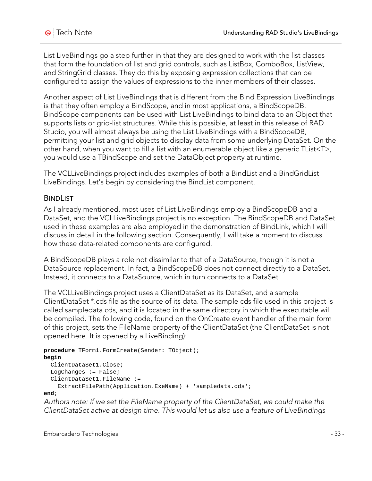List LiveBindings go a step further in that they are designed to work with the list classes that form the foundation of list and grid controls, such as ListBox, ComboBox, ListView, and StringGrid classes. They do this by exposing expression collections that can be configured to assign the values of expressions to the inner members of their classes.

Another aspect of List LiveBindings that is different from the Bind Expression LiveBindings is that they often employ a BindScope, and in most applications, a BindScopeDB. BindScope components can be used with List LiveBindings to bind data to an Object that supports lists or grid-list structures. While this is possible, at least in this release of RAD Studio, you will almost always be using the List LiveBindings with a BindScopeDB, permitting your list and grid objects to display data from some underlying DataSet. On the other hand, when you want to fill a list with an enumerable object like a generic TList<T>, you would use a TBindScope and set the DataObject property at runtime.

The VCLLiveBindings project includes examples of both a BindList and a BindGridList LiveBindings. Let's begin by considering the BindList component.

#### **BINDLIST**

As I already mentioned, most uses of List LiveBindings employ a BindScopeDB and a DataSet, and the VCLLiveBindings project is no exception. The BindScopeDB and DataSet used in these examples are also employed in the demonstration of BindLink, which I will discuss in detail in the following section. Consequently, I will take a moment to discuss how these data-related components are configured.

A BindScopeDB plays a role not dissimilar to that of a DataSource, though it is not a DataSource replacement. In fact, a BindScopeDB does not connect directly to a DataSet. Instead, it connects to a DataSource, which in turn connects to a DataSet.

The VCLLiveBindings project uses a ClientDataSet as its DataSet, and a sample ClientDataSet \*.cds file as the source of its data. The sample cds file used in this project is called sampledata.cds, and it is located in the same directory in which the executable will be compiled. The following code, found on the OnCreate event handler of the main form of this project, sets the FileName property of the ClientDataSet (the ClientDataSet is not opened here. It is opened by a LiveBinding):

```
procedure TForm1.FormCreate(Sender: TObject);
begin
  ClientDataSet1.Close;
  LogChanges := False;
  ClientDataSet1.FileName :=
     ExtractFilePath(Application.ExeName) + 'sampledata.cds';
end;
```
*Authors note: If we set the FileName property of the ClientDataSet, we could make the ClientDataSet active at design time. This would let us also use a feature of LiveBindings*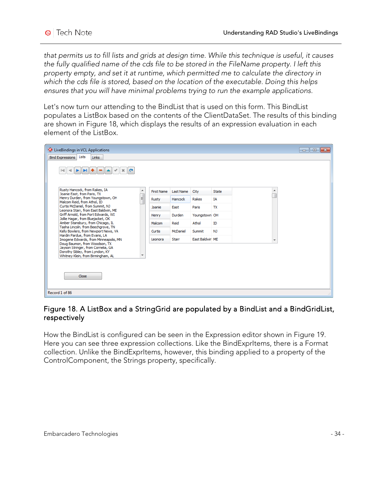*that permits us to fill lists and grids at design time. While this technique is useful, it causes the fully qualified name of the cds file to be stored in the FileName property. I left this property empty, and set it at runtime, which permitted me to calculate the directory in which the cds file is stored, based on the location of the executable. Doing this helps ensures that you will have minimal problems trying to run the example applications.*

Let's now turn our attending to the BindList that is used on this form. This BindList populates a ListBox based on the contents of the ClientDataSet. The results of this binding are shown in Figure 18, which displays the results of an expression evaluation in each element of the ListBox.

| <b>O</b> LiveBindings in VCL Applications                                                                                                         |                   |           |                 |                |                          | $\parallel x$<br><del>- 10 -</del> |
|---------------------------------------------------------------------------------------------------------------------------------------------------|-------------------|-----------|-----------------|----------------|--------------------------|------------------------------------|
| Lists<br><b>Bind Expressions</b><br>Links                                                                                                         |                   |           |                 |                |                          |                                    |
| $H +$<br>$\blacktriangleright$<br>$\lvert \leqslant$<br>$\overline{\phantom{a}}$<br>$\mathbf{C}$<br>×<br>∢                                        |                   |           |                 |                |                          |                                    |
| Rusty Hancock, from Rakes, IA<br>▲<br>Joanie East, from Paris, TX                                                                                 | <b>First Name</b> | Last Name | City            | State          | ┻                        |                                    |
| Henry Durden, from Youngstown, OH<br>Ξ<br>Malcom Reid, from Athol, ID                                                                             | Rusty             | Hancock   | Rakes           | IΑ             |                          |                                    |
| Curtis McDaniel, from Summit, NJ<br>Leonora Starr, from East Baldwin, ME                                                                          | Joanie            | East      | Paris           | TX             |                          |                                    |
| Griff Arnold, from Port Edwards, WI<br>Jollie Hagar, from Bluejacket, OK                                                                          | Henry             | Durden    | Youngstown OH   |                |                          |                                    |
| Amber Stansbury, from Chicago, IL<br>Tasha Lincoln, from Beechgrove, TN                                                                           | Malcom            | Reid      | Athol           | ID             |                          |                                    |
| Kelly Bowlers, from Newport News, VA                                                                                                              | Curtis            | McDaniel  | Summit          | N <sub>J</sub> |                          |                                    |
| Hardin Pardue, from Evans, LA<br>Imogene Edwards, from Minneapolis, MN                                                                            | Leonora           | Starr     | East Baldwin ME |                | $\overline{\phantom{a}}$ |                                    |
| Doug Baumon, from Woodson, TX<br>Jayson Stringer, from Cornelia, GA<br>Dorothy Sibley, from Lyndon, KY<br>٠<br>Whitney Klein, from Birmingham, AL |                   |           |                 |                |                          |                                    |
| Close                                                                                                                                             |                   |           |                 |                |                          |                                    |
| Record 1 of 86                                                                                                                                    |                   |           |                 |                |                          |                                    |

### Figure 18. A ListBox and a StringGrid are populated by a BindList and a BindGridList, respectively

How the BindList is configured can be seen in the Expression editor shown in Figure 19. Here you can see three expression collections. Like the BindExprItems, there is a Format collection. Unlike the BindExprItems, however, this binding applied to a property of the ControlComponent, the Strings property, specifically.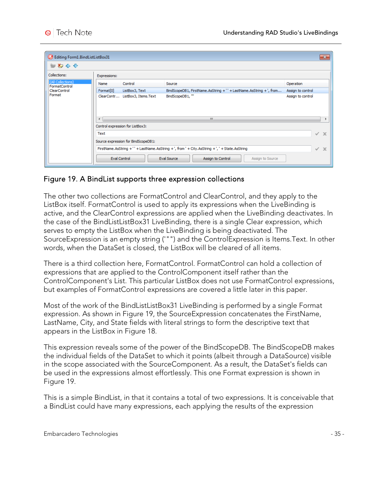| Editing Form1.BindListListBox31    |                       |                                     |                                                                                              |                   | $\mathbf{x}$ |
|------------------------------------|-----------------------|-------------------------------------|----------------------------------------------------------------------------------------------|-------------------|--------------|
| 神石命令                               |                       |                                     |                                                                                              |                   |              |
| Collections:                       | Expressions:          |                                     |                                                                                              |                   |              |
| (All Collections)<br>FormatControl | Name                  | Control                             | Source                                                                                       | Operation         |              |
| ClearControl                       | Format <sup>[0]</sup> | ListBox3, Text                      | BindScopeDB1, FirstName.AsString +'' + LastName.AsString +', from                            | Assign to control |              |
| Format                             |                       | ClearContr ListBox3, Items.Text     | BindScopeDB1,"                                                                               | Assign to control |              |
|                                    | $\leftarrow$          |                                     | JU.                                                                                          |                   | Þ.           |
|                                    |                       | Control expression for ListBox3:    |                                                                                              |                   |              |
|                                    | Text                  |                                     |                                                                                              | $\checkmark$      | $\mathbf{x}$ |
|                                    |                       | Source expression for BindScopeDB1: |                                                                                              |                   |              |
|                                    |                       |                                     | FirstName.AsString +'' + LastName.AsString +', from ' + City.AsString +', ' + State.AsString | $\checkmark$      | $\mathbf x$  |
|                                    |                       | Eval Control                        | Eval Source<br>Assign to Control<br>Assign to Source                                         |                   |              |

#### Figure 19. A BindList supports three expression collections

The other two collections are FormatControl and ClearControl, and they apply to the ListBox itself. FormatControl is used to apply its expressions when the LiveBinding is active, and the ClearControl expressions are applied when the LiveBinding deactivates. In the case of the BindListListBox31 LiveBinding, there is a single Clear expression, which serves to empty the ListBox when the LiveBinding is being deactivated. The SourceExpression is an empty string ('"") and the ControlExpression is Items.Text. In other words, when the DataSet is closed, the ListBox will be cleared of all items.

There is a third collection here, FormatControl. FormatControl can hold a collection of expressions that are applied to the ControlComponent itself rather than the ControlComponent's List. This particular ListBox does not use FormatControl expressions, but examples of FormatControl expressions are covered a little later in this paper.

Most of the work of the BindListListBox31 LiveBinding is performed by a single Format expression. As shown in Figure 19, the SourceExpression concatenates the FirstName, LastName, City, and State fields with literal strings to form the descriptive text that appears in the ListBox in Figure 18.

This expression reveals some of the power of the BindScopeDB. The BindScopeDB makes the individual fields of the DataSet to which it points (albeit through a DataSource) visible in the scope associated with the SourceComponent. As a result, the DataSet's fields can be used in the expressions almost effortlessly. This one Format expression is shown in Figure 19.

This is a simple BindList, in that it contains a total of two expressions. It is conceivable that a BindList could have many expressions, each applying the results of the expression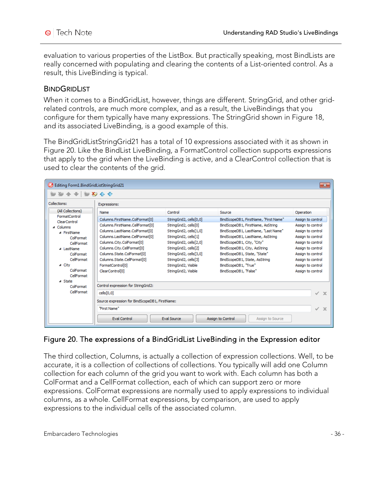evaluation to various properties of the ListBox. But practically speaking, most BindLists are really concerned with populating and clearing the contents of a List-oriented control. As a result, this LiveBinding is typical.

#### **BINDGRIDLIST**

When it comes to a BindGridList, however, things are different. StringGrid, and other gridrelated controls, are much more complex, and as a result, the LiveBindings that you configure for them typically have many expressions. The StringGrid shown in Figure 18, and its associated LiveBinding, is a good example of this.

The BindGridListStringGrid21 has a total of 10 expressions associated with it as shown in Figure 20. Like the BindList LiveBinding, a FormatControl collection supports expressions that apply to the grid when the LiveBinding is active, and a ClearControl collection that is used to clear the contents of the grid.

| Editing Form1.BindGridListStringGrid21 |                                                |                         |                                       | $-x$                        |
|----------------------------------------|------------------------------------------------|-------------------------|---------------------------------------|-----------------------------|
| <b>₩₩₩</b> ₩₩₩₩                        |                                                |                         |                                       |                             |
| Collections:                           | Expressions:                                   |                         |                                       |                             |
| (All Collections)                      | Name                                           | Control                 | Source                                | Operation                   |
| FormatControl<br>ClearControl          | Columns.FirstName.ColFormat[0]                 | StringGrid2, cells[0,0] | BindScopeDB1, FirstName, "First Name" | Assign to control           |
| 4 Columns                              | Columns.FirstName.CellFormat[0]                | StringGrid2, cells[0]   | BindScopeDB1, FirstName, AsString     | Assign to control           |
| ⊿ FirstName                            | Columns.LastName.ColFormat[0]                  | StringGrid2, cells[1,0] | BindScopeDB1, LastName, "Last Name"   | Assign to control           |
| ColFormat                              | Columns.LastName.CellFormat[0]                 | StringGrid2, cells[1]   | BindScopeDB1, LastName, AsString      | Assign to control           |
| CellFormat                             | Columns.City.ColFormat[0]                      | StringGrid2, cells[2,0] | BindScopeDB1, City, "City"            | Assign to control           |
| 4 LastName                             | Columns.City.CellFormat[0]                     | StringGrid2, cells[2]   | BindScopeDB1, City, AsString          | Assign to control           |
| ColFormat                              | Columns.State.ColFormat[0]                     | StringGrid2, cells[3,0] | BindScopeDB1, State, "State"          | Assign to control           |
| CellFormat                             | Columns.State.CellFormat[0]                    | StringGrid2, cells[3]   | BindScopeDB1, State, AsString         | Assign to control           |
| ⊿ City                                 | FormatControl[0]                               | StringGrid2, Visible    | BindScopeDB1, "True"                  | Assign to control           |
| ColFormat                              | ClearControl[0]                                | StringGrid2, Visible    | BindScopeDB1, "False"                 | Assign to control           |
| CellFormat<br>⊿ State                  |                                                |                         |                                       |                             |
| ColFormat                              | Control expression for StringGrid2:            |                         |                                       |                             |
| CellFormat                             | cells[0,0]                                     |                         |                                       | $\checkmark$<br>$\mathbf x$ |
|                                        | Source expression for BindScopeDB1, FirstName: |                         |                                       |                             |
|                                        |                                                |                         |                                       |                             |
|                                        | "First Name"                                   |                         |                                       | ✓<br>$\mathbf{x}$           |
|                                        | Eval Control                                   | <b>Eval Source</b>      | Assign to Control<br>Assign to Source |                             |

### Figure 20. The expressions of a BindGridList LiveBinding in the Expression editor

The third collection, Columns, is actually a collection of expression collections. Well, to be accurate, it is a collection of collections of collections. You typically will add one Column collection for each column of the grid you want to work with. Each column has both a ColFormat and a CellFormat collection, each of which can support zero or more expressions. ColFormat expressions are normally used to apply expressions to individual columns, as a whole. CellFormat expressions, by comparison, are used to apply expressions to the individual cells of the associated column.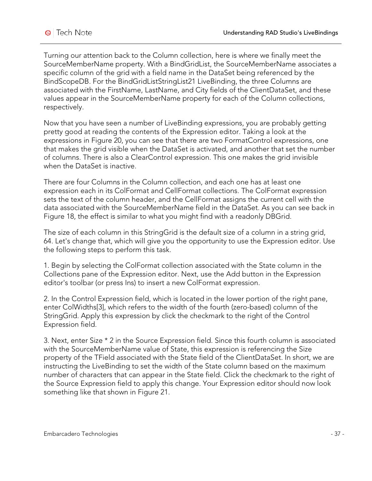Turning our attention back to the Column collection, here is where we finally meet the SourceMemberName property. With a BindGridList, the SourceMemberName associates a specific column of the grid with a field name in the DataSet being referenced by the BindScopeDB. For the BindGridListStringList21 LiveBinding, the three Columns are associated with the FirstName, LastName, and City fields of the ClientDataSet, and these values appear in the SourceMemberName property for each of the Column collections, respectively.

Now that you have seen a number of LiveBinding expressions, you are probably getting pretty good at reading the contents of the Expression editor. Taking a look at the expressions in Figure 20, you can see that there are two FormatControl expressions, one that makes the grid visible when the DataSet is activated, and another that set the number of columns. There is also a ClearControl expression. This one makes the grid invisible when the DataSet is inactive.

There are four Columns in the Column collection, and each one has at least one expression each in its ColFormat and CellFormat collections. The ColFormat expression sets the text of the column header, and the CellFormat assigns the current cell with the data associated with the SourceMemberName field in the DataSet. As you can see back in Figure 18, the effect is similar to what you might find with a readonly DBGrid.

The size of each column in this StringGrid is the default size of a column in a string grid, 64. Let's change that, which will give you the opportunity to use the Expression editor. Use the following steps to perform this task.

1. Begin by selecting the ColFormat collection associated with the State column in the Collections pane of the Expression editor. Next, use the Add button in the Expression editor's toolbar (or press Ins) to insert a new ColFormat expression.

2. In the Control Expression field, which is located in the lower portion of the right pane, enter ColWidths[3], which refers to the width of the fourth (zero-based) column of the StringGrid. Apply this expression by click the checkmark to the right of the Control Expression field.

3. Next, enter Size \* 2 in the Source Expression field. Since this fourth column is associated with the SourceMemberName value of State, this expression is referencing the Size property of the TField associated with the State field of the ClientDataSet. In short, we are instructing the LiveBinding to set the width of the State column based on the maximum number of characters that can appear in the State field. Click the checkmark to the right of the Source Expression field to apply this change. Your Expression editor should now look something like that shown in Figure 21.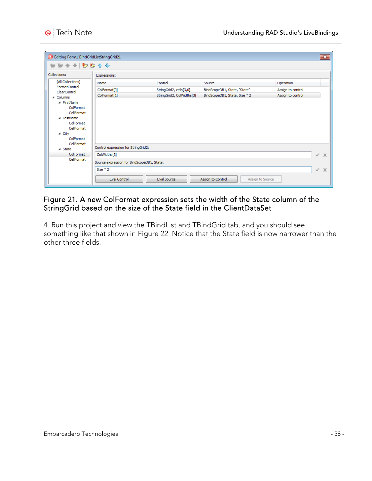| Collections:                                                      | Expressions:                        |                           |                               |                   |
|-------------------------------------------------------------------|-------------------------------------|---------------------------|-------------------------------|-------------------|
| (All Collections)                                                 | Name                                | Control                   | Source                        | Operation         |
| FormatControl<br>ClearControl                                     | ColFormat <sup>[0]</sup>            | StringGrid2, cells[3,0]   | BindScopeDB1, State, "State"  | Assign to control |
| 4 Columns                                                         | ColFormat[1]                        | StringGrid2, ColWidths[3] | BindScopeDB1, State, Size * 2 | Assign to control |
| ▲ FirstName<br>ColFormat<br>CellFormat<br>⊿ LastName<br>ColFormat |                                     |                           |                               |                   |
| CellFormat<br>⊿ City<br>ColFormat                                 |                                     |                           |                               |                   |
| CellFormat<br>⊿ State                                             | Control expression for StringGrid2: |                           |                               |                   |
| ColFormat                                                         | ColWidths[3]                        |                           |                               | $\checkmark$ X    |

#### Figure 21. A new ColFormat expression sets the width of the State column of the StringGrid based on the size of the State field in the ClientDataSet

4. Run this project and view the TBindList and TBindGrid tab, and you should see something like that shown in Figure 22. Notice that the State field is now narrower than the other three fields.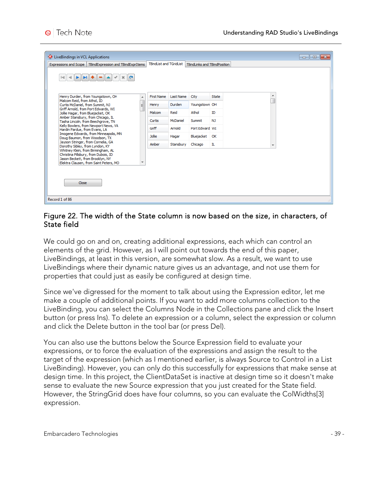| <b>O</b> LiveBindings in VCL Applications                                                                                                                                            |                                |           |                              |              |                          | -0-<br>$-x$<br>- 1 |
|--------------------------------------------------------------------------------------------------------------------------------------------------------------------------------------|--------------------------------|-----------|------------------------------|--------------|--------------------------|--------------------|
| TBindExpression and TBindExprItems<br>Expressions and Scope                                                                                                                          | <b>TBindList and TGridList</b> |           | TBindLinks and TBindPosition |              |                          |                    |
| $\mathbf{M}$ + = $\mathbf{A}$<br>$x_{\alpha}$<br>$\overline{a}$<br>►                                                                                                                 |                                |           |                              |              |                          |                    |
| Henry Durden, from Youngstown, OH<br>A                                                                                                                                               | First Name                     | Last Name | City                         | <b>State</b> | ┻                        |                    |
| Malcom Reid, from Athol, ID<br>Curtis McDaniel, from Summit, NJ<br>E.                                                                                                                | Henry                          | Durden    | Youngstown OH                |              |                          |                    |
| Griff Arnold, from Port Edwards, WI<br>Jollie Hagar, from Bluejacket, OK                                                                                                             | Malcom                         | Reid      | Athol                        | ID           |                          |                    |
| Amber Stansbury, from Chicago, IL<br>Tasha Lincoln, from Beechgrove, TN                                                                                                              | Curtis                         | McDaniel  | Summit                       | NJ.          |                          |                    |
| Kelly Bowlers, from Newport News, VA<br>Hardin Pardue, from Evans, LA                                                                                                                | Griff                          | Arnold    | Port Edward WI               |              |                          |                    |
| Imogene Edwards, from Minneapolis, MN<br>Doug Baumon, from Woodson, TX                                                                                                               | <b>Jollie</b>                  | Hagar     | Bluejacket                   | OK           |                          |                    |
| Jayson Stringer, from Cornelia, GA<br>Dorothy Sibley, from Lyndon, KY                                                                                                                | Amber                          | Stansbury | Chicago                      | IL           | $\overline{\phantom{a}}$ |                    |
| Whitney Klein, from Birmingham, AL<br>Christina Pillsbury, from Dubois, ID<br>Jason Beckett, from Brooklyn, NY<br>Elektra Clausen, from Saint Peters, MO<br>$\overline{\phantom{a}}$ |                                |           |                              |              |                          |                    |
| Close                                                                                                                                                                                |                                |           |                              |              |                          |                    |
| Record 1 of 86                                                                                                                                                                       |                                |           |                              |              |                          |                    |

#### Figure 22. The width of the State column is now based on the size, in characters, of State field

We could go on and on, creating additional expressions, each which can control an elements of the grid. However, as I will point out towards the end of this paper, LiveBindings, at least in this version, are somewhat slow. As a result, we want to use LiveBindings where their dynamic nature gives us an advantage, and not use them for properties that could just as easily be configured at design time.

Since we've digressed for the moment to talk about using the Expression editor, let me make a couple of additional points. If you want to add more columns collection to the LiveBinding, you can select the Columns Node in the Collections pane and click the Insert button (or press Ins). To delete an expression or a column, select the expression or column and click the Delete button in the tool bar (or press Del).

You can also use the buttons below the Source Expression field to evaluate your expressions, or to force the evaluation of the expressions and assign the result to the target of the expression (which as I mentioned earlier, is always Source to Control in a List LiveBinding). However, you can only do this successfully for expressions that make sense at design time. In this project, the ClientDataSet is inactive at design time so it doesn't make sense to evaluate the new Source expression that you just created for the State field. However, the StringGrid does have four columns, so you can evaluate the ColWidths[3] expression.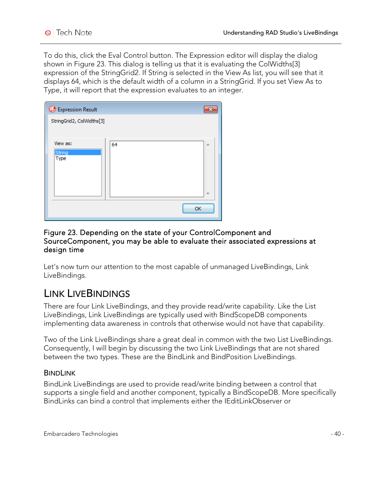To do this, click the Eval Control button. The Expression editor will display the dialog shown in Figure 23. This dialog is telling us that it is evaluating the ColWidths[3] expression of the StringGrid2. If String is selected in the View As list, you will see that it displays 64, which is the default width of a column in a StringGrid. If you set View As to Type, it will report that the expression evaluates to an integer.

| Expression Result         |    |                          |
|---------------------------|----|--------------------------|
| StringGrid2, ColWidths[3] |    |                          |
| View as:                  | 64 |                          |
| String                    |    | 止                        |
| Type                      |    |                          |
|                           |    |                          |
|                           |    | $\overline{\phantom{a}}$ |
|                           | OK |                          |
|                           |    |                          |

#### Figure 23. Depending on the state of your ControlComponent and SourceComponent, you may be able to evaluate their associated expressions at design time

Let's now turn our attention to the most capable of unmanaged LiveBindings, Link LiveBindings.

### LINK LIVEBINDINGS

There are four Link LiveBindings, and they provide read/write capability. Like the List LiveBindings, Link LiveBindings are typically used with BindScopeDB components implementing data awareness in controls that otherwise would not have that capability.

Two of the Link LiveBindings share a great deal in common with the two List LiveBindings. Consequently, I will begin by discussing the two Link LiveBindings that are not shared between the two types. These are the BindLink and BindPosition LiveBindings.

#### BINDLINK

BindLink LiveBindings are used to provide read/write binding between a control that supports a single field and another component, typically a BindScopeDB. More specifically BindLinks can bind a control that implements either the IEditLinkObserver or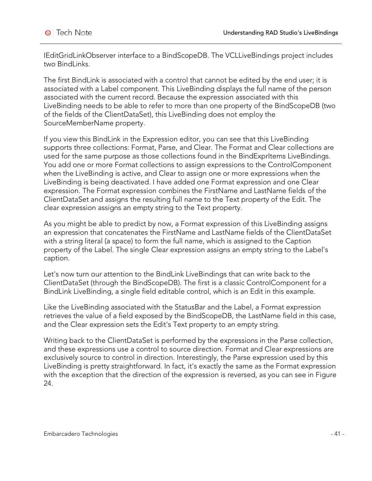IEditGridLinkObserver interface to a BindScopeDB. The VCLLiveBindings project includes two BindLinks.

The first BindLink is associated with a control that cannot be edited by the end user; it is associated with a Label component. This LiveBinding displays the full name of the person associated with the current record. Because the expression associated with this LiveBinding needs to be able to refer to more than one property of the BindScopeDB (two of the fields of the ClientDataSet), this LiveBinding does not employ the SourceMemberName property.

If you view this BindLink in the Expression editor, you can see that this LiveBinding supports three collections: Format, Parse, and Clear. The Format and Clear collections are used for the same purpose as those collections found in the BindExprItems LiveBindings. You add one or more Format collections to assign expressions to the ControlComponent when the LiveBinding is active, and Clear to assign one or more expressions when the LiveBinding is being deactivated. I have added one Format expression and one Clear expression. The Format expression combines the FirstName and LastName fields of the ClientDataSet and assigns the resulting full name to the Text property of the Edit. The clear expression assigns an empty string to the Text property.

As you might be able to predict by now, a Format expression of this LiveBinding assigns an expression that concatenates the FirstName and LastName fields of the ClientDataSet with a string literal (a space) to form the full name, which is assigned to the Caption property of the Label. The single Clear expression assigns an empty string to the Label's caption.

Let's now turn our attention to the BindLink LiveBindings that can write back to the ClientDataSet (through the BindScopeDB). The first is a classic ControlComponent for a BindLink LiveBinding, a single field editable control, which is an Edit in this example.

Like the LiveBinding associated with the StatusBar and the Label, a Format expression retrieves the value of a field exposed by the BindScopeDB, the LastName field in this case, and the Clear expression sets the Edit's Text property to an empty string.

Writing back to the ClientDataSet is performed by the expressions in the Parse collection, and these expressions use a control to source direction. Format and Clear expressions are exclusively source to control in direction. Interestingly, the Parse expression used by this LiveBinding is pretty straightforward. In fact, it's exactly the same as the Format expression with the exception that the direction of the expression is reversed, as you can see in Figure 24.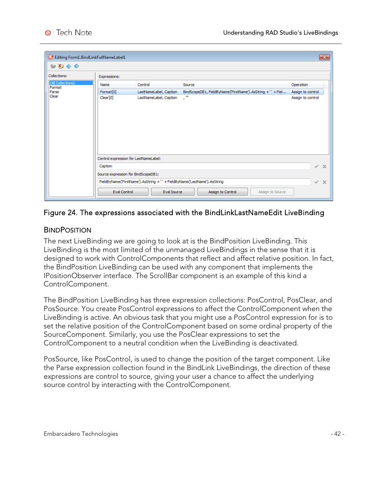| Editing Form1.BindLinkFullNameLabel1 |                                       |                                                                            |                                                            |                   | $\mathbf{x}$ |
|--------------------------------------|---------------------------------------|----------------------------------------------------------------------------|------------------------------------------------------------|-------------------|--------------|
| 御わるや                                 |                                       |                                                                            |                                                            |                   |              |
| Collections:                         | Expressions:                          |                                                                            |                                                            |                   |              |
| (All Collections)<br>Format          | Name                                  | Control                                                                    | Source                                                     | Operation         |              |
| Parse                                | Format <sup>[0]</sup>                 | LastNameLabel, Caption                                                     | BindScopeDB1, FieldByName('FirstName').AsString +'' + Fiel | Assign to control |              |
| Clear                                | Clear[0]                              | LastNameLabel, Caption                                                     | -78                                                        | Assign to control |              |
|                                      |                                       |                                                                            |                                                            |                   |              |
|                                      | Control expression for LastNameLabel: |                                                                            |                                                            |                   |              |
|                                      | Caption                               |                                                                            |                                                            | ✓                 | $\mathbf{x}$ |
|                                      | Source expression for BindScopeDB1:   |                                                                            |                                                            |                   |              |
|                                      |                                       | FieldByName('FirstName').AsString + ' ' + FieldByName('LastName').AsString |                                                            | ✓                 | $\mathbf x$  |
|                                      | <b>Eval Control</b>                   | Eval Source                                                                | Assign to Control                                          | Assign to Source  |              |

#### Figure 24. The expressions associated with the BindLinkLastNameEdit LiveBinding

#### **BINDPOSITION**

The next LiveBinding we are going to look at is the BindPosition LiveBinding. This LiveBinding is the most limited of the unmanaged LiveBindings in the sense that it is designed to work with ControlComponents that reflect and affect relative position. In fact, the BindPosition LiveBinding can be used with any component that implements the IPositionObserver interface. The ScrollBar component is an example of this kind a ControlComponent.

The BindPosition LiveBinding has three expression collections: PosControl, PosClear, and PosSource. You create PosControl expressions to affect the ControlComponent when the LiveBinding is active. An obvious task that you might use a PosControl expression for is to set the relative position of the ControlComponent based on some ordinal property of the SourceComponent. Similarly, you use the PosClear expressions to set the ControlComponent to a neutral condition when the LiveBinding is deactivated.

PosSource, like PosControl, is used to change the position of the target component. Like the Parse expression collection found in the BindLink LiveBindings, the direction of these expressions are control to source, giving your user a chance to affect the underlying source control by interacting with the ControlComponent.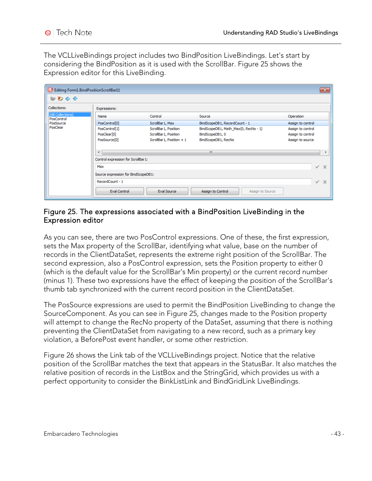The VCLLiveBindings project includes two BindPosition LiveBindings. Let's start by considering the BindPosition as it is used with the ScrollBar. Figure 25 shows the Expression editor for this LiveBinding.

| Editing Form1.BindPositionScrollBar11 |                                     |                           |                                       | $\mathbf{x}$      |
|---------------------------------------|-------------------------------------|---------------------------|---------------------------------------|-------------------|
| 神われや                                  |                                     |                           |                                       |                   |
| Collections:                          | Expressions:                        |                           |                                       |                   |
| (All Collections)                     | Name                                | Control                   | Source                                | Operation         |
| PosControl<br>PosSource<br>PosClear   | PosControl[0]                       | ScrollBar 1, Max          | BindScopeDB1, RecordCount - 1         | Assign to control |
|                                       | PosControl[1]                       | ScrollBar 1, Position     | BindScopeDB1, Math_Max(0, RecNo - 1)  | Assign to control |
|                                       | PosClear <sup>[0]</sup>             | ScrollBar 1, Position     | BindScopeDB1, 0                       | Assign to control |
|                                       | PosSource <sup>[0]</sup>            | ScrollBar 1, Position + 1 | BindScopeDB1, RecNo                   | Assign to source  |
|                                       |                                     |                           |                                       |                   |
|                                       | Ш<br>$\overline{ }$                 |                           |                                       |                   |
|                                       | Control expression for ScrollBar1:  |                           |                                       |                   |
|                                       | Max                                 |                           |                                       | $\checkmark$ X    |
|                                       |                                     |                           |                                       |                   |
|                                       | Source expression for BindScopeDB1: |                           |                                       |                   |
|                                       | RecordCount - 1                     |                           |                                       | $\mathbf x$<br>✓  |
|                                       | Eval Control                        | Eval Source               | Assign to Control<br>Assign to Source |                   |

#### Figure 25. The expressions associated with a BindPosition LiveBinding in the Expression editor

As you can see, there are two PosControl expressions. One of these, the first expression, sets the Max property of the ScrollBar, identifying what value, base on the number of records in the ClientDataSet, represents the extreme right position of the ScrollBar. The second expression, also a PosControl expression, sets the Position property to either 0 (which is the default value for the ScrollBar's Min property) or the current record number (minus 1). These two expressions have the effect of keeping the position of the ScrollBar's thumb tab synchronized with the current record position in the ClientDataSet.

The PosSource expressions are used to permit the BindPosition LiveBinding to change the SourceComponent. As you can see in Figure 25, changes made to the Position property will attempt to change the RecNo property of the DataSet, assuming that there is nothing preventing the ClientDataSet from navigating to a new record, such as a primary key violation, a BeforePost event handler, or some other restriction.

Figure 26 shows the Link tab of the VCLLiveBindings project. Notice that the relative position of the ScrollBar matches the text that appears in the StatusBar. It also matches the relative position of records in the ListBox and the StringGrid, which provides us with a perfect opportunity to consider the BinkListLink and BindGridLink LiveBindings.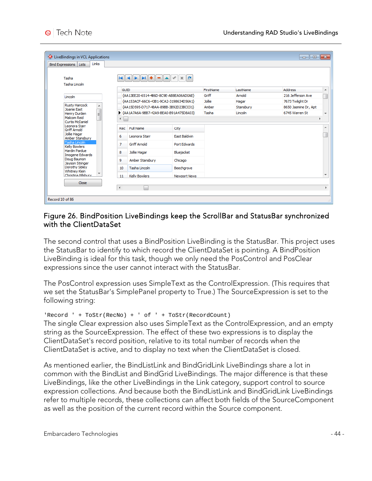| <b>O</b> LiveBindings in VCL Applications<br>Links<br><b>Bind Expressions</b><br>Lists |                                        |                     |           |           | $\begin{array}{c c c c c c} \hline \multicolumn{3}{c }{\mathbf{C}} & \multicolumn{3}{c }{\mathbf{X}} \end{array}$ |    |
|----------------------------------------------------------------------------------------|----------------------------------------|---------------------|-----------|-----------|-------------------------------------------------------------------------------------------------------------------|----|
| Tasha<br>Tasha Lincoln                                                                 | $ 4 4 $ $ 5 1 4  - 4$                  | x <sub>6</sub>      |           |           |                                                                                                                   |    |
|                                                                                        | <b>GUID</b>                            |                     | FirstName | LastName  | <b>Address</b>                                                                                                    | Â  |
| Lincoln                                                                                | {AA13EE20-6514-4B6D-8C9E-AB8EA06AD0AE} |                     | Griff     | Arnold    | 216 Jefferson Ave                                                                                                 |    |
| Rusty Hancock                                                                          | {AA153ACF-66C6-43B1-9CA2-3198634D56A1} |                     | Jollie    | Hagar     | 7673 Twilight Dr                                                                                                  |    |
| ᆂ<br>Joanie East                                                                       | {AA15D595-D717-48AA-89BB-3B92D23BC031} |                     | Amber     | Stansbury | 8650 Jasmine Dr, Apt                                                                                              |    |
| E<br>Henry Durden                                                                      | AA1A7A6A-9BB7-42A9-BEA0-B91A475D8A03}  |                     | Tasha     | Lincoln   | 6745 Warren St                                                                                                    |    |
| Malcom Reid<br>Curtis McDaniel                                                         | ∢                                      |                     |           |           |                                                                                                                   | ъ. |
| Leonora Starr<br><b>Griff Arnold</b>                                                   | Full Name<br>Rec                       | City                |           |           |                                                                                                                   |    |
| Jollie Hagar<br>Amber Stansbury                                                        | 6<br>Leonora Starr                     | <b>Fast Baldwin</b> |           |           |                                                                                                                   |    |
| Tasha Lincoln<br><b>Kelly Bowlers</b>                                                  | <b>Griff Arnold</b><br>7               | Port Edwards        |           |           |                                                                                                                   |    |
| <b>Hardin Pardue</b><br><b>Imogene Edwards</b>                                         | Jollie Hagar<br>8                      | Bluejacket          |           |           |                                                                                                                   |    |
| Doug Baumon<br>Jayson Stringer                                                         | Amber Stansbury<br>9.                  | Chicago             |           |           |                                                                                                                   |    |
| Dorothy Sibley<br>Whitney Klein                                                        | Tasha Lincoln<br>10                    | Beechgrove          |           |           |                                                                                                                   |    |
| Christina Pillshury                                                                    | <b>Kelly Bowlers</b><br>11             | <b>Newport News</b> |           |           |                                                                                                                   |    |
| Close                                                                                  |                                        |                     |           |           |                                                                                                                   |    |
|                                                                                        | $\overline{\phantom{0}}$               |                     |           |           |                                                                                                                   |    |
|                                                                                        |                                        |                     |           |           |                                                                                                                   |    |

#### Figure 26. BindPosition LiveBindings keep the ScrollBar and StatusBar synchronized with the ClientDataSet

The second control that uses a BindPosition LiveBinding is the StatusBar. This project uses the StatusBar to identify to which record the ClientDataSet is pointing. A BindPosition LiveBinding is ideal for this task, though we only need the PosControl and PosClear expressions since the user cannot interact with the StatusBar.

The PosControl expression uses SimpleText as the ControlExpression. (This requires that we set the StatusBar's SimplePanel property to True.) The SourceExpression is set to the following string:

'Record ' + ToStr(RecNo) + ' of ' + ToStr(RecordCount)

The single Clear expression also uses SimpleText as the ControlExpression, and an empty string as the SourceExpression. The effect of these two expressions is to display the ClientDataSet's record position, relative to its total number of records when the ClientDataSet is active, and to display no text when the ClientDataSet is closed.

As mentioned earlier, the BindListLink and BindGridLink LiveBindings share a lot in common with the BindList and BindGrid LiveBindings. The major difference is that these LiveBindings, like the other LiveBindings in the Link category, support control to source expression collections. And because both the BindListLink and BindGridLink LiveBindings refer to multiple records, these collections can affect both fields of the SourceComponent as well as the position of the current record within the Source component.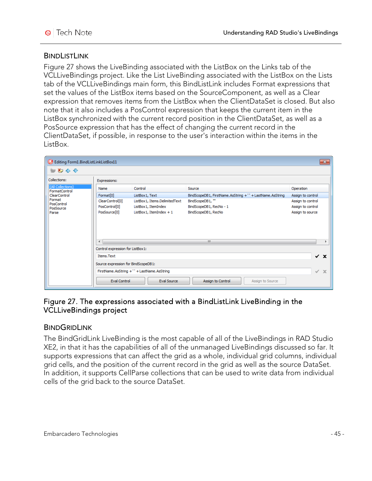#### **BINDLISTLINK**

Figure 27 shows the LiveBinding associated with the ListBox on the Links tab of the VCLLiveBindings project. Like the List LiveBinding associated with the ListBox on the Lists tab of the VCLLiveBindings main form, this BindListLink includes Format expressions that set the values of the ListBox items based on the SourceComponent, as well as a Clear expression that removes items from the ListBox when the ClientDataSet is closed. But also note that it also includes a PosControl expression that keeps the current item in the ListBox synchronized with the current record position in the ClientDataSet, as well as a PosSource expression that has the effect of changing the current record in the ClientDataSet, if possible, in response to the user's interaction within the items in the ListBox.

| Editing Form1.BindListLinkListBox11 |                                     |                                            |                                                         | $\mathbf{x}$                |
|-------------------------------------|-------------------------------------|--------------------------------------------|---------------------------------------------------------|-----------------------------|
| おわやく                                |                                     |                                            |                                                         |                             |
| Collections:                        | Expressions:                        |                                            |                                                         |                             |
| (All Collections)<br>FormatControl  | Name                                | Control                                    | Operation                                               |                             |
| <b>ClearControl</b>                 | Format <sup>[0]</sup>               | ListBox1, Text                             | BindScopeDB1, FirstName.AsString +" + LastName.AsString | Assign to control           |
| Format<br>PosControl                | ClearControl[0]                     | ListBox1, Items.DelimitedText              | BindScopeDB1,""                                         | Assign to control           |
| PosSource                           | PosControl[0]                       | ListBox1, ItemIndex                        | BindScopeDB1, RecNo - 1                                 | Assign to control           |
| Parse                               | PosSource <sup>[0]</sup>            | BindScopeDB1, RecNo                        | Assign to source                                        |                             |
|                                     | $\overline{ }$                      |                                            | m.                                                      |                             |
|                                     | Control expression for ListBox1:    |                                            |                                                         |                             |
|                                     | Items.Text                          |                                            |                                                         | $\checkmark$ x              |
|                                     |                                     |                                            |                                                         |                             |
|                                     | Source expression for BindScopeDB1: |                                            |                                                         |                             |
|                                     |                                     | FirstName.AsString + ' + LastName.AsString |                                                         | $\mathbf x$<br>$\checkmark$ |
|                                     | Eval Control                        | Eval Source                                | Assign to Control<br>Assign to Source                   |                             |

#### Figure 27. The expressions associated with a BindListLink LiveBinding in the VCLLiveBindings project

#### **BINDGRIDLINK**

The BindGridLink LiveBinding is the most capable of all of the LiveBindings in RAD Studio XE2, in that it has the capabilities of all of the unmanaged LiveBindings discussed so far. It supports expressions that can affect the grid as a whole, individual grid columns, individual grid cells, and the position of the current record in the grid as well as the source DataSet. In addition, it supports CellParse collections that can be used to write data from individual cells of the grid back to the source DataSet.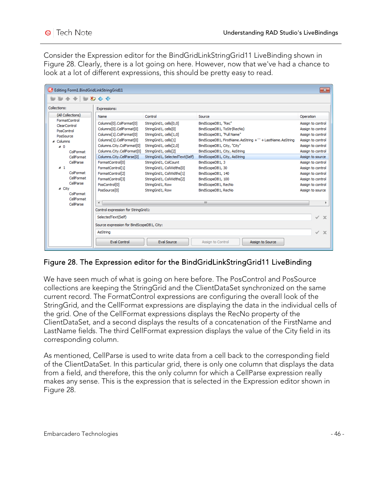Consider the Expression editor for the BindGridLinkStringGrid11 LiveBinding shown in Figure 28. Clearly, there is a lot going on here. However, now that we've had a chance to look at a lot of different expressions, this should be pretty easy to read.

| Editing Form1.BindGridLinkStringGrid11<br>$-x$                                                                                                   |                                                                                                                                                                                                            |                                                                                                                                                                                                        |                                                                                                                                                                                                                                                                      |                                                                                                                                                             |  |  |  |
|--------------------------------------------------------------------------------------------------------------------------------------------------|------------------------------------------------------------------------------------------------------------------------------------------------------------------------------------------------------------|--------------------------------------------------------------------------------------------------------------------------------------------------------------------------------------------------------|----------------------------------------------------------------------------------------------------------------------------------------------------------------------------------------------------------------------------------------------------------------------|-------------------------------------------------------------------------------------------------------------------------------------------------------------|--|--|--|
| <b>₩₩₩₩₩₩₩</b>                                                                                                                                   |                                                                                                                                                                                                            |                                                                                                                                                                                                        |                                                                                                                                                                                                                                                                      |                                                                                                                                                             |  |  |  |
| Collections:                                                                                                                                     | Expressions:                                                                                                                                                                                               |                                                                                                                                                                                                        |                                                                                                                                                                                                                                                                      |                                                                                                                                                             |  |  |  |
| (All Collections)<br>FormatControl<br><b>ClearControl</b><br>PosControl<br>PosSource<br>4 Columns<br>⊿ ∩<br>ColFormat<br>CellFormat<br>CellParse | Name<br>Columns[0].ColFormat[0]<br>Columns[0].CellFormat[0]<br>Columns[1].ColFormat[0]<br>Columns[1].CellFormat[0]<br>Columns.City.ColFormat[0]<br>Columns.City.CellFormat[0]<br>Columns.City.CellParse[0] | Control<br>StringGrid1, cells[0,0]<br>StringGrid1, cells[0]<br>StringGrid1, cells[1,0]<br>StringGrid1, cells[1]<br>StringGrid1, cells[2,0]<br>StringGrid1, cells[2]<br>StringGrid1, SelectedText(Self) | Source<br>BindScopeDB1, "Rec"<br>BindScopeDB1, ToStr(RecNo)<br>BindScopeDB1, "Full Name"<br>BindScopeDB1, FirstName.AsString +" + LastName.AsString<br>BindScopeDB1, City, "City"<br>BindScopeDB1, City, AsString<br>BindScopeDB1, City, AsString<br>BindScopeDB1, 3 | Operation<br>Assign to control<br>Assign to control<br>Assign to control<br>Assign to control<br>Assign to control<br>Assign to control<br>Assign to source |  |  |  |
| 41<br>ColFormat<br>CellFormat<br>CellParse<br>⊿ Citv<br>ColFormat<br>CellFormat                                                                  | FormatControl[0]<br>FormatControl[1]<br>FormatControl <sup>[2]</sup><br>FormatControl[3]<br>PosControl[0]<br>PosSource <sup>[0]</sup>                                                                      | StringGrid1, ColCount<br>StringGrid1, ColWidths[0]<br>StringGrid1, ColWidths[1]<br>StringGrid1, ColWidths[2]<br>StringGrid1, Row<br>StringGrid1, Row                                                   | BindScopeDB1, 30<br>BindScopeDB1, 140<br>BindScopeDB1, 100<br>BindScopeDB1, RecNo<br>BindScopeDB1, RecNo                                                                                                                                                             | Assign to control<br>Assign to control<br>Assign to control<br>Assign to control<br>Assign to control<br>Assign to source                                   |  |  |  |
| CellParse                                                                                                                                        | $\overline{4}$<br>Control expression for StringGrid1:<br>SelectedText(Self)<br>Source expression for BindScopeDB1, City:<br>AsString<br><b>Eval Control</b>                                                | Eval Source                                                                                                                                                                                            | m.<br>Assign to Control<br>Assign to Source                                                                                                                                                                                                                          | ✓<br>$\mathbf x$<br>✓<br>$\mathbf x$                                                                                                                        |  |  |  |

### Figure 28. The Expression editor for the BindGridLinkStringGrid11 LiveBinding

We have seen much of what is going on here before. The PosControl and PosSource collections are keeping the StringGrid and the ClientDataSet synchronized on the same current record. The FormatControl expressions are configuring the overall look of the StringGrid, and the CellFormat expressions are displaying the data in the individual cells of the grid. One of the CellFormat expressions displays the RecNo property of the ClientDataSet, and a second displays the results of a concatenation of the FirstName and LastName fields. The third CellFormat expression displays the value of the City field in its corresponding column.

As mentioned, CellParse is used to write data from a cell back to the corresponding field of the ClientDataSet. In this particular grid, there is only one column that displays the data from a field, and therefore, this the only column for which a CellParse expression really makes any sense. This is the expression that is selected in the Expression editor shown in Figure 28.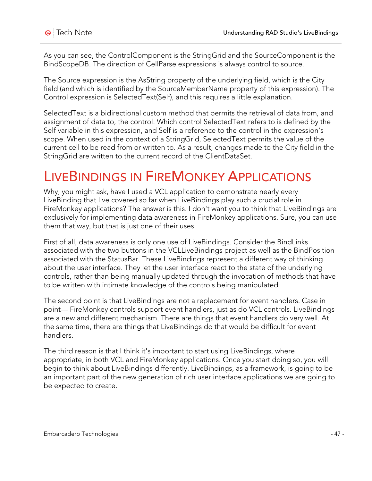As you can see, the ControlComponent is the StringGrid and the SourceComponent is the BindScopeDB. The direction of CellParse expressions is always control to source.

The Source expression is the AsString property of the underlying field, which is the City field (and which is identified by the SourceMemberName property of this expression). The Control expression is SelectedText(Self), and this requires a little explanation.

SelectedText is a bidirectional custom method that permits the retrieval of data from, and assignment of data to, the control. Which control SelectedText refers to is defined by the Self variable in this expression, and Self is a reference to the control in the expression's scope. When used in the context of a StringGrid, SelectedText permits the value of the current cell to be read from or written to. As a result, changes made to the City field in the StringGrid are written to the current record of the ClientDataSet.

# LIVEBINDINGS IN FIREMONKEY APPLICATIONS

Why, you might ask, have I used a VCL application to demonstrate nearly every LiveBinding that I've covered so far when LiveBindings play such a crucial role in FireMonkey applications? The answer is this. I don't want you to think that LiveBindings are exclusively for implementing data awareness in FireMonkey applications. Sure, you can use them that way, but that is just one of their uses.

First of all, data awareness is only one use of LiveBindings. Consider the BindLinks associated with the two buttons in the VCLLiveBindings project as well as the BindPosition associated with the StatusBar. These LiveBindings represent a different way of thinking about the user interface. They let the user interface react to the state of the underlying controls, rather than being manually updated through the invocation of methods that have to be written with intimate knowledge of the controls being manipulated.

The second point is that LiveBindings are not a replacement for event handlers. Case in point— FireMonkey controls support event handlers, just as do VCL controls. LiveBindings are a new and different mechanism. There are things that event handlers do very well. At the same time, there are things that LiveBindings do that would be difficult for event handlers.

The third reason is that I think it's important to start using LiveBindings, where appropriate, in both VCL and FireMonkey applications. Once you start doing so, you will begin to think about LiveBindings differently. LiveBindings, as a framework, is going to be an important part of the new generation of rich user interface applications we are going to be expected to create.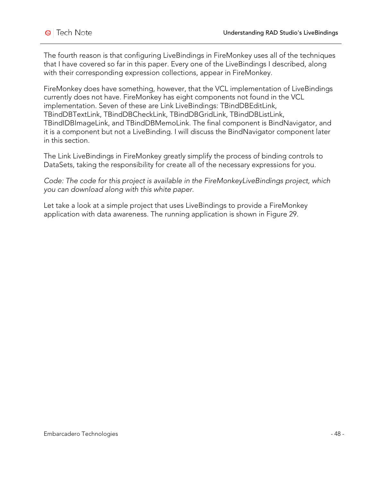The fourth reason is that configuring LiveBindings in FireMonkey uses all of the techniques that I have covered so far in this paper. Every one of the LiveBindings I described, along with their corresponding expression collections, appear in FireMonkey.

FireMonkey does have something, however, that the VCL implementation of LiveBindings currently does not have. FireMonkey has eight components not found in the VCL implementation. Seven of these are Link LiveBindings: TBindDBEditLink, TBindDBTextLink, TBindDBCheckLink, TBindDBGridLink, TBindDBListLink, TBindIDBImageLink, and TBindDBMemoLink. The final component is BindNavigator, and it is a component but not a LiveBinding. I will discuss the BindNavigator component later in this section.

The Link LiveBindings in FireMonkey greatly simplify the process of binding controls to DataSets, taking the responsibility for create all of the necessary expressions for you.

*Code: The code for this project is available in the FireMonkeyLiveBindings project, which you can download along with this white paper.*

Let take a look at a simple project that uses LiveBindings to provide a FireMonkey application with data awareness. The running application is shown in Figure 29.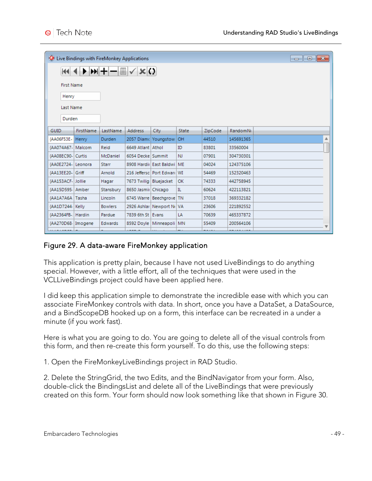|                                  | <b>O</b> Live Bindings with FireMonkey Applications<br>$\begin{array}{c c c c c c} \hline \multicolumn{3}{c }{\mathbf{C}} & \multicolumn{3}{c }{\mathbf{S}} & \multicolumn{3}{c }{\mathbf{X}} \end{array}$ |                |                          |                                 |           |         |                 |   |
|----------------------------------|------------------------------------------------------------------------------------------------------------------------------------------------------------------------------------------------------------|----------------|--------------------------|---------------------------------|-----------|---------|-----------------|---|
|                                  | <b>KKI 4</b>                                                                                                                                                                                               |                |                          |                                 |           |         |                 |   |
| <b>First Name</b>                |                                                                                                                                                                                                            |                |                          |                                 |           |         |                 |   |
| Henry                            |                                                                                                                                                                                                            |                |                          |                                 |           |         |                 |   |
| Last Name                        |                                                                                                                                                                                                            |                |                          |                                 |           |         |                 |   |
| Durden                           |                                                                                                                                                                                                            |                |                          |                                 |           |         |                 |   |
| GUID                             | FirstName                                                                                                                                                                                                  | LastName       | Address                  | City                            | State     | ZipCode | <b>RandomNi</b> |   |
| {AA06F53E-  Henry                |                                                                                                                                                                                                            | Durden         |                          | 2057 Diam <a> let Youngstow</a> | <b>OH</b> | 44510   | 145691365       | ▲ |
| {AA074A67-   Malcom              |                                                                                                                                                                                                            | Reid           | 6649 Atlant Athol        |                                 | ID        | 83801   | 33560004        |   |
| {AA08EC90- Curtis                |                                                                                                                                                                                                            | McDaniel       | 6054 Decke Summit        |                                 | <b>NJ</b> | 07901   | 304730301       |   |
| {AA0E2724- Leonora               |                                                                                                                                                                                                            | <b>Starr</b>   |                          | 8908 Hardii East Baldwi   ME    |           | 04024   | 124375106       |   |
| {AA13EE20-Griff                  |                                                                                                                                                                                                            | Arnold         |                          | 216 Jeffersc   Port Edward   WI |           | 54469   | 152320463       |   |
| {AA153ACF-Jollie                 |                                                                                                                                                                                                            | Hagar          | 7673 Twilig   Bluejacket |                                 | OK        | 74333   | 442758945       |   |
| {AA15D595- Amber                 |                                                                                                                                                                                                            | Stansbury      | 8650 Jasmir Chicago      |                                 | IL        | 60624   | 422113821       |   |
| {AA1A7A6A Tasha                  |                                                                                                                                                                                                            | Lincoln        |                          | 6745 Warre   Beechgrove   TN    |           | 37018   | 369332182       |   |
| {AA1D7244- Kelly                 |                                                                                                                                                                                                            | <b>Bowlers</b> |                          | 2926 Ashlar   Newport No VA     |           | 23606   | 221892552       |   |
| {AA2364FB-: Hardin               |                                                                                                                                                                                                            | Pardue         | 7839 6th St   Evans      |                                 | LA        | 70639   | 465337872       |   |
| {AA270D68- Imogene<br>. <u>.</u> |                                                                                                                                                                                                            | Edwards        | . <u>.</u>               | 8592 Doyle   Minneapoli   MN    |           | 55409   | 200564106       | ▼ |

#### Figure 29. A data-aware FireMonkey application

This application is pretty plain, because I have not used LiveBindings to do anything special. However, with a little effort, all of the techniques that were used in the VCLLiveBindings project could have been applied here.

I did keep this application simple to demonstrate the incredible ease with which you can associate FireMonkey controls with data. In short, once you have a DataSet, a DataSource, and a BindScopeDB hooked up on a form, this interface can be recreated in a under a minute (if you work fast).

Here is what you are going to do. You are going to delete all of the visual controls from this form, and then re-create this form yourself. To do this, use the following steps:

1. Open the FireMonkeyLiveBindings project in RAD Studio.

2. Delete the StringGrid, the two Edits, and the BindNavigator from your form. Also, double-click the BindingsList and delete all of the LiveBindings that were previously created on this form. Your form should now look something like that shown in Figure 30.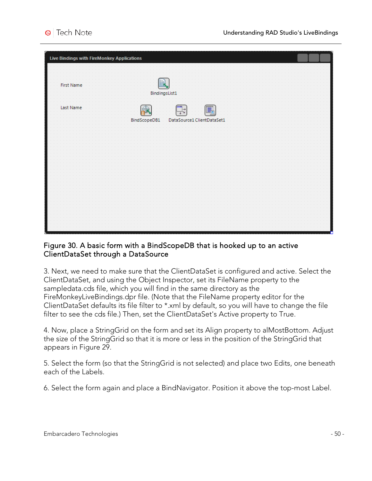| Live Bindings with FireMonkey Applications |                   |                                 |   |  |  |
|--------------------------------------------|-------------------|---------------------------------|---|--|--|
|                                            |                   |                                 |   |  |  |
| First Name                                 | B                 |                                 |   |  |  |
|                                            |                   | BindingsList1                   |   |  |  |
| Last Name                                  |                   |                                 | E |  |  |
|                                            | 食<br>BindScopeDB1 | ₩<br>DataSource1 ClientDataSet1 |   |  |  |
|                                            |                   |                                 |   |  |  |
|                                            |                   |                                 |   |  |  |
|                                            |                   |                                 |   |  |  |
|                                            |                   |                                 |   |  |  |
|                                            |                   |                                 |   |  |  |
|                                            |                   |                                 |   |  |  |
|                                            |                   |                                 |   |  |  |
|                                            |                   |                                 |   |  |  |
|                                            |                   |                                 |   |  |  |

#### Figure 30. A basic form with a BindScopeDB that is hooked up to an active ClientDataSet through a DataSource

3. Next, we need to make sure that the ClientDataSet is configured and active. Select the ClientDataSet, and using the Object Inspector, set its FileName property to the sampledata.cds file, which you will find in the same directory as the FireMonkeyLiveBindings.dpr file. (Note that the FileName property editor for the ClientDataSet defaults its file filter to \*.xml by default, so you will have to change the file filter to see the cds file.) Then, set the ClientDataSet's Active property to True.

4. Now, place a StringGrid on the form and set its Align property to alMostBottom. Adjust the size of the StringGrid so that it is more or less in the position of the StringGrid that appears in Figure 29.

5. Select the form (so that the StringGrid is not selected) and place two Edits, one beneath each of the Labels.

6. Select the form again and place a BindNavigator. Position it above the top-most Label.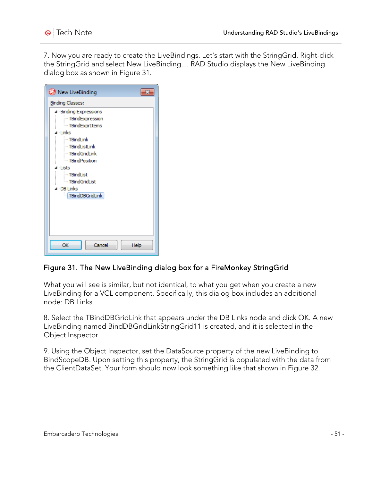7. Now you are ready to create the LiveBindings. Let's start with the StringGrid. Right-click the StringGrid and select New LiveBinding.... RAD Studio displays the New LiveBinding dialog box as shown in Figure 31.

| New LiveBinding                                                                                                                                                                                                                            |
|--------------------------------------------------------------------------------------------------------------------------------------------------------------------------------------------------------------------------------------------|
| <b>Binding Classes:</b>                                                                                                                                                                                                                    |
| ▲ Binding Expressions<br>- TBindExpression<br>- TBindExprItems<br>⊿ Links<br>- TBindLink<br>- TBindListLink<br><b>TBindGridLink</b><br>- TBindPosition<br>⊿ ⊥ists<br>$-$ TBindList<br><b>E</b> mdGridList<br>⊿ DB Links<br>TBindDBGridLink |
| OK<br>Cancel<br>Help                                                                                                                                                                                                                       |

### Figure 31. The New LiveBinding dialog box for a FireMonkey StringGrid

What you will see is similar, but not identical, to what you get when you create a new LiveBinding for a VCL component. Specifically, this dialog box includes an additional node: DB Links.

8. Select the TBindDBGridLink that appears under the DB Links node and click OK. A new LiveBinding named BindDBGridLinkStringGrid11 is created, and it is selected in the Object Inspector.

9. Using the Object Inspector, set the DataSource property of the new LiveBinding to BindScopeDB. Upon setting this property, the StringGrid is populated with the data from the ClientDataSet. Your form should now look something like that shown in Figure 32.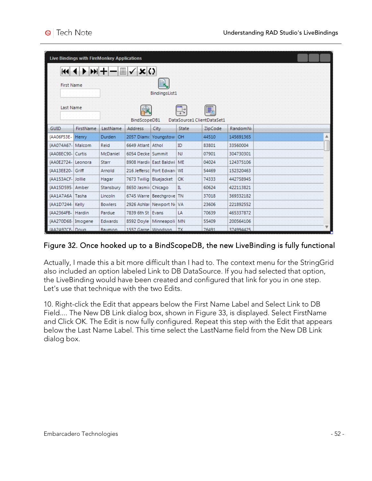| Live Bindings with FireMonkey Applications |                  |                                                           |                        |                               |                            |         |           |  |
|--------------------------------------------|------------------|-----------------------------------------------------------|------------------------|-------------------------------|----------------------------|---------|-----------|--|
| KH                                         |                  | $\blacktriangleright$ $\blacktriangleright$ $\dashv$<br>ē | $\sqrt{\mathbf{x}}$ () |                               |                            |         |           |  |
| <b>First Name</b>                          |                  |                                                           |                        | 圓                             |                            |         |           |  |
|                                            |                  |                                                           |                        | <b>BindingsList1</b>          |                            |         |           |  |
| Last Name                                  |                  |                                                           | BindScopeDB1           |                               | DataSource1 ClientDataSet1 | q       |           |  |
| <b>GUID</b>                                | <b>FirstName</b> | LastName                                                  | <b>Address</b>         | City                          | <b>State</b>               | ZipCode | RandomNi  |  |
| {AA06F53E-                                 | Henry            | <b>Durden</b>                                             |                        | 2057 Diame Youngstow          | OH                         | 44510   | 145691365 |  |
| {AA074A67-                                 | Malcom           | Reid                                                      | 6649 Atlant Athol      |                               | ID                         | 83801   | 33560004  |  |
| <b>AA08EC90-</b>                           | Curtis           | McDaniel                                                  | 6054 Decke Summit      |                               | <b>NJ</b>                  | 07901   | 304730301 |  |
| {AA0E2724-                                 | Leonora          | Starr                                                     |                        | 8908 Hardii East Baldwi       | <b>ME</b>                  | 04024   | 124375106 |  |
| {AA13EE20-                                 | Griff            | Arnold                                                    |                        | 216 Jeffersc   Port Edward WI |                            | 54469   | 152320463 |  |
| {AA153ACF-                                 | Jollie           | Hagar                                                     | 7673 Twilig Bluejacket |                               | OK                         | 74333   | 442758945 |  |
| {AA15D595- Amber                           |                  | Stansbury                                                 | 8650 Jasmir Chicago    |                               | IL.                        | 60624   | 422113821 |  |
| {AA1A7A6A                                  | Tasha            | Lincoln                                                   |                        | 6745 Warre Beechgrove         | <b>TN</b>                  | 37018   | 369332182 |  |
| {AA1D7244}                                 | Kelly            | <b>Bowlers</b>                                            |                        | 2926 Ashlar Newport No VA     |                            | 23606   | 221892552 |  |
| {AA2364FB-                                 | Hardin           | Pardue                                                    | 7839 6th St Evans      |                               | LA                         | 70639   | 465337872 |  |
| {AA270D68- Imogene                         |                  | <b>Edwards</b>                                            |                        | 8592 Dovle   Minneapoli   MN  |                            | 55409   | 200564106 |  |
| {AA2A97CF-Doug                             |                  | <b>Baumon</b>                                             | 1557 Garne Woodson     |                               | TX                         | 76491   | 374994425 |  |

### Figure 32. Once hooked up to a BindScopeDB, the new LiveBinding is fully functional

Actually, I made this a bit more difficult than I had to. The context menu for the StringGrid also included an option labeled Link to DB DataSource. If you had selected that option, the LiveBinding would have been created and configured that link for you in one step. Let's use that technique with the two Edits.

10. Right-click the Edit that appears below the First Name Label and Select Link to DB Field.... The New DB Link dialog box, shown in Figure 33, is displayed. Select FirstName and Click OK. The Edit is now fully configured. Repeat this step with the Edit that appears below the Last Name Label. This time select the LastName field from the New DB Link dialog box.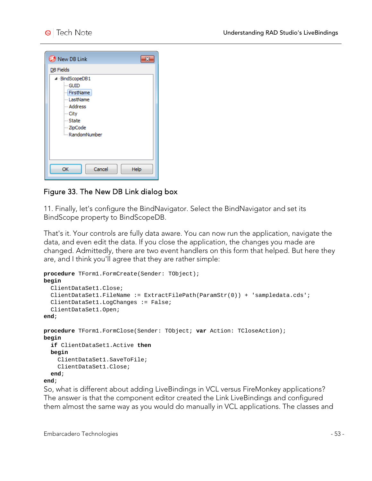

### Figure 33. The New DB Link dialog box

11. Finally, let's configure the BindNavigator. Select the BindNavigator and set its BindScope property to BindScopeDB.

That's it. Your controls are fully data aware. You can now run the application, navigate the data, and even edit the data. If you close the application, the changes you made are changed. Admittedly, there are two event handlers on this form that helped. But here they are, and I think you'll agree that they are rather simple:

```
procedure TForm1.FormCreate(Sender: TObject);
begin
   ClientDataSet1.Close;
   ClientDataSet1.FileName := ExtractFilePath(ParamStr(0)) + 'sampledata.cds';
   ClientDataSet1.LogChanges := False;
   ClientDataSet1.Open;
end;
procedure TForm1.FormClose(Sender: TObject; var Action: TCloseAction);
begin
   if ClientDataSet1.Active then
   begin
     ClientDataSet1.SaveToFile;
     ClientDataSet1.Close;
   end;
end;
```
So, what is different about adding LiveBindings in VCL versus FireMonkey applications? The answer is that the component editor created the Link LiveBindings and configured them almost the same way as you would do manually in VCL applications. The classes and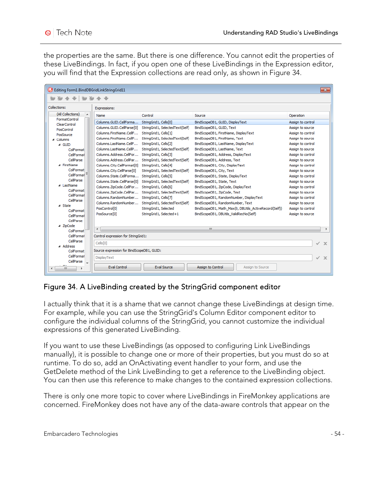the properties are the same. But there is one difference. You cannot edit the properties of these LiveBindings. In fact, if you open one of these LiveBindings in the Expression editor, you will find that the Expression collections are read only, as shown in Figure 34.

| Editing Form1.BindDBGridLinkStringGrid11 |                                           |                                 |                                                       | $\mathbf{x}$                |
|------------------------------------------|-------------------------------------------|---------------------------------|-------------------------------------------------------|-----------------------------|
|                                          |                                           |                                 |                                                       |                             |
| Collections:                             | Expressions:                              |                                 |                                                       |                             |
| (All Collections)                        | Name                                      | Control                         | Source                                                | Operation                   |
| FormatControl<br>ClearControl            | Columns.GUID.CellForma                    | StringGrid1, Cells[0]           | BindScopeDB1, GUID, DisplayText                       | Assign to control           |
| PosControl                               | Columns.GUID.CellParse[0]                 | StringGrid1, SelectedText(Self) | BindScopeDB1, GUID, Text                              | Assign to source            |
| PosSource                                | Columns.FirstName.CellF                   | StringGrid1, Cells[1]           | BindScopeDB1, FirstName, DisplayText                  | Assign to control           |
| 4 Columns                                | Columns.FirstName.CellP                   | StringGrid1, SelectedText(Self) | BindScopeDB1, FirstName, Text                         | Assign to source            |
| $\triangle$ GUID                         | Columns.LastName.CellE                    | StringGrid1, Cells[2]           | BindScopeDB1, LastName, DisplayText                   | Assign to control           |
| ColFormat                                | Columns.LastName.CellP                    | StringGrid1, SelectedText(Self) | BindScopeDB1, LastName, Text                          | Assign to source            |
| CellFormat                               | Columns.Address.CellFor                   | StringGrid1, Cells[3]           | BindScopeDB1, Address, DisplayText                    | Assign to control           |
| CellParse                                | Columns. Address. CellPar                 | StringGrid1, SelectedText(Self) | BindScopeDB1, Address, Text                           | Assign to source            |
| ⊿ FirstName                              | Columns.City.CellFormat[0]                | StringGrid1, Cells[4]           | BindScopeDB1, City, DisplayText                       | Assign to control           |
| ColFormat                                | Columns.City.CellParse[0]                 | StringGrid1, SelectedText(Self) | BindScopeDB1, City, Text                              | Assign to source            |
| CellFormat <sup>E</sup>                  | Columns.State.CellForma                   | StringGrid1, Cells[5]           | BindScopeDB1, State, DisplayText                      | Assign to control           |
| CellParse                                | Columns.State.CellParse[0]                | StringGrid1, SelectedText(Self) | BindScopeDB1, State, Text                             | Assign to source            |
| ▲ LastName                               | Columns.ZipCode.CellFor                   | StringGrid1, Cells[6]           | BindScopeDB1, ZipCode, DisplayText                    | Assign to control           |
| ColFormat<br>CellFormat                  | Columns.ZipCode.CellPar                   | StringGrid1, SelectedText(Self) | BindScopeDB1, ZipCode, Text                           | Assign to source            |
| CellParse                                | Columns.RandomNumber                      | StringGrid1, Cells[7]           | BindScopeDB1, RandomNumber, DisplayText               | Assign to control           |
| ⊿ State                                  | Columns.RandomNumber                      | StringGrid1, SelectedText(Self) | BindScopeDB1, RandomNumber, Text                      | Assign to source            |
| ColFormat                                | PosControl[0]                             | StringGrid1, Selected           | BindScopeDB1, Math Max(0, DBUtils ActiveRecord(Self)) | Assign to control           |
| CellFormat                               | PosSource <sup>[0]</sup>                  | StringGrid1, Selected+1         | BindScopeDB1, DBUtils_ValidRecNo(Self)                | Assign to source            |
| CellParse                                |                                           |                                 |                                                       |                             |
| ⊿ ZipCode                                |                                           |                                 |                                                       |                             |
| ColFormat                                | $\overline{4}$                            |                                 | m.                                                    |                             |
| CellFormat                               | Control expression for StringGrid1:       |                                 |                                                       |                             |
| CellParse                                | Cells[0]                                  |                                 |                                                       | $\checkmark$<br>$\mathbf x$ |
| ⊿ Address<br>ColFormat                   | Source expression for BindScopeDB1, GUID: |                                 |                                                       |                             |
| CellFormat                               | DisplayText                               |                                 |                                                       |                             |
| CellParse                                |                                           |                                 |                                                       | ✓<br>$\mathbf x$            |
| m.                                       | <b>Eval Control</b>                       | Eval Source                     | Assign to Control<br>Assign to Source                 |                             |

### Figure 34. A LiveBinding created by the StringGrid component editor

I actually think that it is a shame that we cannot change these LiveBindings at design time. For example, while you can use the StringGrid's Column Editor component editor to configure the individual columns of the StringGrid, you cannot customize the individual expressions of this generated LiveBinding.

If you want to use these LiveBindings (as opposed to configuring Link LiveBindings manually), it is possible to change one or more of their properties, but you must do so at runtime. To do so, add an OnActivating event handler to your form, and use the GetDelete method of the Link LiveBinding to get a reference to the LiveBinding object. You can then use this reference to make changes to the contained expression collections.

There is only one more topic to cover where LiveBindings in FireMonkey applications are concerned. FireMonkey does not have any of the data-aware controls that appear on the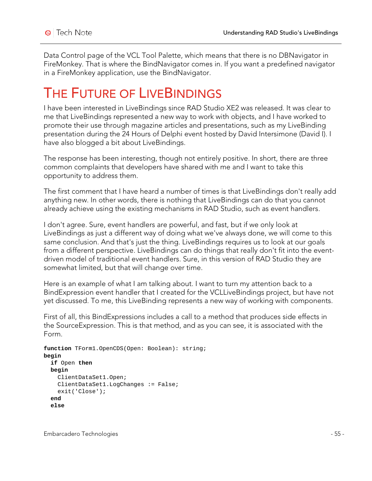Data Control page of the VCL Tool Palette, which means that there is no DBNavigator in FireMonkey. That is where the BindNavigator comes in. If you want a predefined navigator in a FireMonkey application, use the BindNavigator.

## THE FUTURE OF LIVE BINDINGS

I have been interested in LiveBindings since RAD Studio XE2 was released. It was clear to me that LiveBindings represented a new way to work with objects, and I have worked to promote their use through magazine articles and presentations, such as my LiveBinding presentation during the 24 Hours of Delphi event hosted by David Intersimone (David I). I have also blogged a bit about LiveBindings.

The response has been interesting, though not entirely positive. In short, there are three common complaints that developers have shared with me and I want to take this opportunity to address them.

The first comment that I have heard a number of times is that LiveBindings don't really add anything new. In other words, there is nothing that LiveBindings can do that you cannot already achieve using the existing mechanisms in RAD Studio, such as event handlers.

I don't agree. Sure, event handlers are powerful, and fast, but if we only look at LiveBindings as just a different way of doing what we've always done, we will come to this same conclusion. And that's just the thing. LiveBindings requires us to look at our goals from a different perspective. LiveBindings can do things that really don't fit into the eventdriven model of traditional event handlers. Sure, in this version of RAD Studio they are somewhat limited, but that will change over time.

Here is an example of what I am talking about. I want to turn my attention back to a BindExpression event handler that I created for the VCLLiveBindings project, but have not yet discussed. To me, this LiveBinding represents a new way of working with components.

First of all, this BindExpressions includes a call to a method that produces side effects in the SourceExpression. This is that method, and as you can see, it is associated with the Form.

```
function TForm1.OpenCDS(Open: Boolean): string;
begin
  if Open then
  begin
     ClientDataSet1.Open;
     ClientDataSet1.LogChanges := False;
     exit('Close');
   end
   else
```
Embarcadero Technologies - 55 -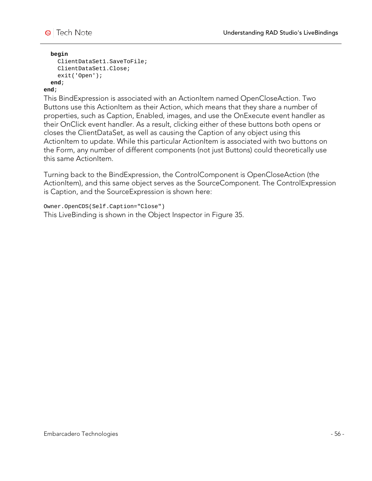

#### **begin**

```
 ClientDataSet1.SaveToFile;
   ClientDataSet1.Close;
   exit('Open');
 end;
```
#### **end**;

This BindExpression is associated with an ActionItem named OpenCloseAction. Two Buttons use this ActionItem as their Action, which means that they share a number of properties, such as Caption, Enabled, images, and use the OnExecute event handler as their OnClick event handler. As a result, clicking either of these buttons both opens or closes the ClientDataSet, as well as causing the Caption of any object using this ActionItem to update. While this particular ActionItem is associated with two buttons on the Form, any number of different components (not just Buttons) could theoretically use this same ActionItem.

Turning back to the BindExpression, the ControlComponent is OpenCloseAction (the ActionItem), and this same object serves as the SourceComponent. The ControlExpression is Caption, and the SourceExpression is shown here:

Owner.OpenCDS(Self.Caption="Close")

This LiveBinding is shown in the Object Inspector in Figure 35.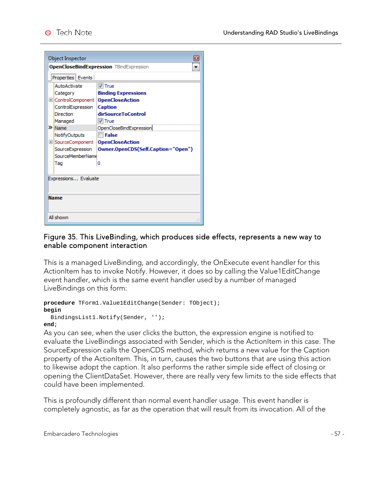| Object Inspector                               |                                    |  |  |  |  |  |
|------------------------------------------------|------------------------------------|--|--|--|--|--|
| <b>OpenCloseBindExpression TBindExpression</b> |                                    |  |  |  |  |  |
| Properties   Events                            |                                    |  |  |  |  |  |
| <b>AutoActivate</b>                            | $V$ True                           |  |  |  |  |  |
| Category                                       | <b>Binding Expressions</b>         |  |  |  |  |  |
| El ControlComponent                            | <b>OpenCloseAction</b>             |  |  |  |  |  |
| ControlExpression                              | <b>Caption</b>                     |  |  |  |  |  |
| Direction                                      | dirSourceToControl                 |  |  |  |  |  |
| Managed                                        | $V$ True                           |  |  |  |  |  |
| > Name                                         | OpenCloseBindExpression            |  |  |  |  |  |
| NotifyOutputs                                  | <b>El False</b>                    |  |  |  |  |  |
| E SourceComponent                              | <b>OpenCloseAction</b>             |  |  |  |  |  |
| SourceExpression                               | Owner.OpenCDS(Self.Caption="Open") |  |  |  |  |  |
| SourceMemberName                               |                                    |  |  |  |  |  |
| Tao                                            | 0                                  |  |  |  |  |  |
|                                                |                                    |  |  |  |  |  |
| Expressions Evaluate                           |                                    |  |  |  |  |  |
|                                                |                                    |  |  |  |  |  |
|                                                |                                    |  |  |  |  |  |
| Name                                           |                                    |  |  |  |  |  |
|                                                |                                    |  |  |  |  |  |
| All shown                                      |                                    |  |  |  |  |  |

#### Figure 35. This LiveBinding, which produces side effects, represents a new way to enable component interaction

This is a managed LiveBinding, and accordingly, the OnExecute event handler for this ActionItem has to invoke Notify. However, it does so by calling the Value1EditChange event handler, which is the same event handler used by a number of managed LiveBindings on this form:

```
procedure TForm1.Value1EditChange(Sender: TObject);
begin
   BindingsList1.Notify(Sender, '');
end;
```
As you can see, when the user clicks the button, the expression engine is notified to evaluate the LiveBindings associated with Sender, which is the ActionItem in this case. The SourceExpression calls the OpenCDS method, which returns a new value for the Caption property of the ActionItem. This, in turn, causes the two buttons that are using this action to likewise adopt the caption. It also performs the rather simple side effect of closing or opening the ClientDataSet. However, there are really very few limits to the side effects that could have been implemented.

This is profoundly different than normal event handler usage. This event handler is completely agnostic, as far as the operation that will result from its invocation. All of the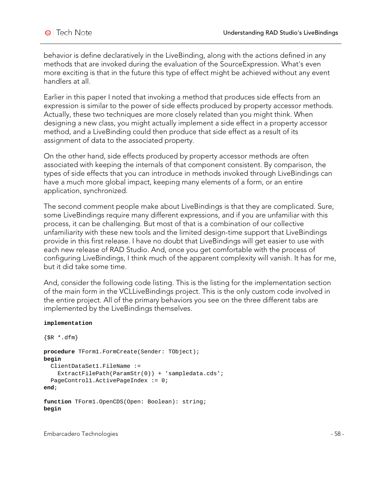behavior is define declaratively in the LiveBinding, along with the actions defined in any methods that are invoked during the evaluation of the SourceExpression. What's even more exciting is that in the future this type of effect might be achieved without any event handlers at all.

Earlier in this paper I noted that invoking a method that produces side effects from an expression is similar to the power of side effects produced by property accessor methods. Actually, these two techniques are more closely related than you might think. When designing a new class, you might actually implement a side effect in a property accessor method, and a LiveBinding could then produce that side effect as a result of its assignment of data to the associated property.

On the other hand, side effects produced by property accessor methods are often associated with keeping the internals of that component consistent. By comparison, the types of side effects that you can introduce in methods invoked through LiveBindings can have a much more global impact, keeping many elements of a form, or an entire application, synchronized.

The second comment people make about LiveBindings is that they are complicated. Sure, some LiveBindings require many different expressions, and if you are unfamiliar with this process, it can be challenging. But most of that is a combination of our collective unfamiliarity with these new tools and the limited design-time support that LiveBindings provide in this first release. I have no doubt that LiveBindings will get easier to use with each new release of RAD Studio. And, once you get comfortable with the process of configuring LiveBindings, I think much of the apparent complexity will vanish. It has for me, but it did take some time.

And, consider the following code listing. This is the listing for the implementation section of the main form in the VCLLiveBindings project. This is the only custom code involved in the entire project. All of the primary behaviors you see on the three different tabs are implemented by the LiveBindings themselves.

#### **implementation**

```
{$R *.dfm}
procedure TForm1.FormCreate(Sender: TObject);
begin
   ClientDataSet1.FileName :=
     ExtractFilePath(ParamStr(0)) + 'sampledata.cds';
   PageControl1.ActivePageIndex := 0;
end;
function TForm1.OpenCDS(Open: Boolean): string;
begin
```
Embarcadero Technologies - 58 -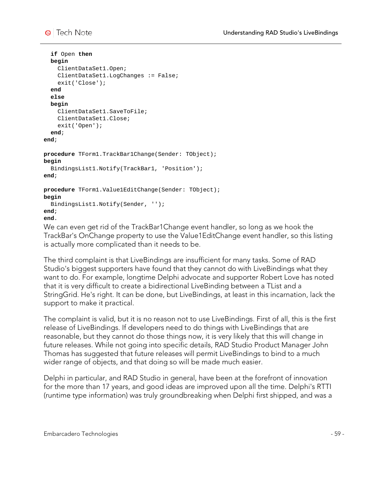

```
 if Open then
   begin
     ClientDataSet1.Open;
     ClientDataSet1.LogChanges := False;
     exit('Close');
   end
   else
   begin
     ClientDataSet1.SaveToFile;
     ClientDataSet1.Close;
     exit('Open');
   end;
end;
procedure TForm1.TrackBar1Change(Sender: TObject);
begin
  BindingsList1.Notify(TrackBar1, 'Position');
end;
procedure TForm1.Value1EditChange(Sender: TObject);
begin
  BindingsList1.Notify(Sender, '');
end;
end.
```
We can even get rid of the TrackBar1Change event handler, so long as we hook the TrackBar's OnChange property to use the Value1EditChange event handler, so this listing is actually more complicated than it needs to be.

The third complaint is that LiveBindings are insufficient for many tasks. Some of RAD Studio's biggest supporters have found that they cannot do with LiveBindings what they want to do. For example, longtime Delphi advocate and supporter Robert Love has noted that it is very difficult to create a bidirectional LiveBinding between a TList and a StringGrid. He's right. It can be done, but LiveBindings, at least in this incarnation, lack the support to make it practical.

The complaint is valid, but it is no reason not to use LiveBindings. First of all, this is the first release of LiveBindings. If developers need to do things with LiveBindings that are reasonable, but they cannot do those things now, it is very likely that this will change in future releases. While not going into specific details, RAD Studio Product Manager John Thomas has suggested that future releases will permit LiveBindings to bind to a much wider range of objects, and that doing so will be made much easier.

Delphi in particular, and RAD Studio in general, have been at the forefront of innovation for the more than 17 years, and good ideas are improved upon all the time. Delphi's RTTI (runtime type information) was truly groundbreaking when Delphi first shipped, and was a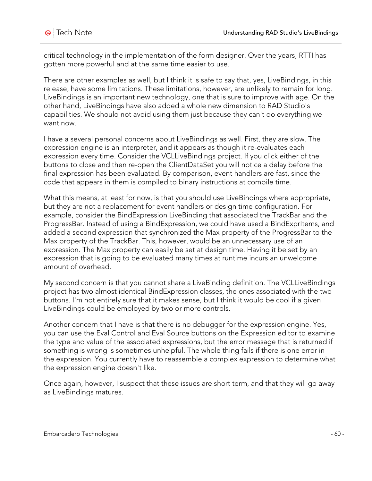critical technology in the implementation of the form designer. Over the years, RTTI has gotten more powerful and at the same time easier to use.

There are other examples as well, but I think it is safe to say that, yes, LiveBindings, in this release, have some limitations. These limitations, however, are unlikely to remain for long. LiveBindings is an important new technology, one that is sure to improve with age. On the other hand, LiveBindings have also added a whole new dimension to RAD Studio's capabilities. We should not avoid using them just because they can't do everything we want now.

I have a several personal concerns about LiveBindings as well. First, they are slow. The expression engine is an interpreter, and it appears as though it re-evaluates each expression every time. Consider the VCLLiveBindings project. If you click either of the buttons to close and then re-open the ClientDataSet you will notice a delay before the final expression has been evaluated. By comparison, event handlers are fast, since the code that appears in them is compiled to binary instructions at compile time.

What this means, at least for now, is that you should use LiveBindings where appropriate, but they are not a replacement for event handlers or design time configuration. For example, consider the BindExpression LiveBinding that associated the TrackBar and the ProgressBar. Instead of using a BindExpression, we could have used a BindExprItems, and added a second expression that synchronized the Max property of the ProgressBar to the Max property of the TrackBar. This, however, would be an unnecessary use of an expression. The Max property can easily be set at design time. Having it be set by an expression that is going to be evaluated many times at runtime incurs an unwelcome amount of overhead.

My second concern is that you cannot share a LiveBinding definition. The VCLLiveBindings project has two almost identical BindExpression classes, the ones associated with the two buttons. I'm not entirely sure that it makes sense, but I think it would be cool if a given LiveBindings could be employed by two or more controls.

Another concern that I have is that there is no debugger for the expression engine. Yes, you can use the Eval Control and Eval Source buttons on the Expression editor to examine the type and value of the associated expressions, but the error message that is returned if something is wrong is sometimes unhelpful. The whole thing fails if there is one error in the expression. You currently have to reassemble a complex expression to determine what the expression engine doesn't like.

Once again, however, I suspect that these issues are short term, and that they will go away as LiveBindings matures.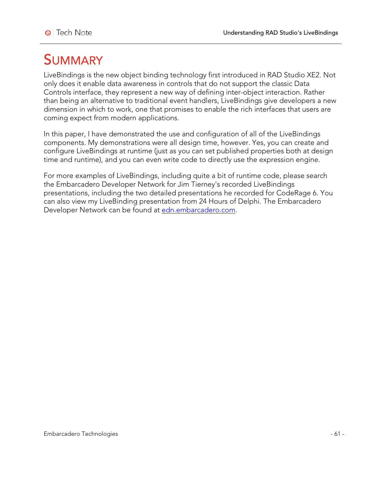# SUMMARY

LiveBindings is the new object binding technology first introduced in RAD Studio XE2. Not only does it enable data awareness in controls that do not support the classic Data Controls interface, they represent a new way of defining inter-object interaction. Rather than being an alternative to traditional event handlers, LiveBindings give developers a new dimension in which to work, one that promises to enable the rich interfaces that users are coming expect from modern applications.

In this paper, I have demonstrated the use and configuration of all of the LiveBindings components. My demonstrations were all design time, however. Yes, you can create and configure LiveBindings at runtime (just as you can set published properties both at design time and runtime), and you can even write code to directly use the expression engine.

For more examples of LiveBindings, including quite a bit of runtime code, please search the Embarcadero Developer Network for Jim Tierney's recorded LiveBindings presentations, including the two detailed presentations he recorded for CodeRage 6. You can also view my LiveBinding presentation from 24 Hours of Delphi. The Embarcadero Developer Network can be found at edn.embarcadero.com.